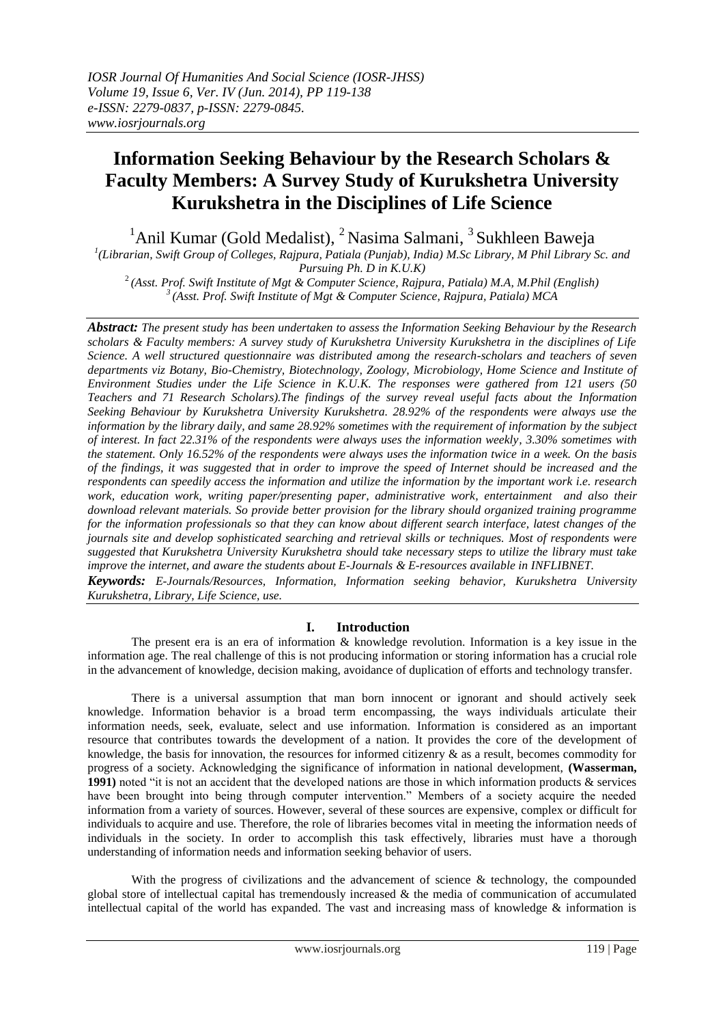# **Information Seeking Behaviour by the Research Scholars & Faculty Members: A Survey Study of Kurukshetra University Kurukshetra in the Disciplines of Life Science**

 $1$ Anil Kumar (Gold Medalist),  $2$ Nasima Salmani,  $3$ Sukhleen Baweja

*1 (Librarian, Swift Group of Colleges, Rajpura, Patiala (Punjab), India) M.Sc Library, M Phil Library Sc. and Pursuing Ph. D in K.U.K)* 

<sup>2</sup>*(Asst. Prof. Swift Institute of Mgt & Computer Science, Rajpura, Patiala) M.A, M.Phil (English) <sup>3</sup>(Asst. Prof. Swift Institute of Mgt & Computer Science, Rajpura, Patiala) MCA*

*Abstract: The present study has been undertaken to assess the Information Seeking Behaviour by the Research scholars & Faculty members: A survey study of Kurukshetra University Kurukshetra in the disciplines of Life Science. A well structured questionnaire was distributed among the research-scholars and teachers of seven departments viz Botany, Bio-Chemistry, Biotechnology, Zoology, Microbiology, Home Science and Institute of Environment Studies under the Life Science in K.U.K. The responses were gathered from 121 users (50 Teachers and 71 Research Scholars).The findings of the survey reveal useful facts about the Information Seeking Behaviour by Kurukshetra University Kurukshetra. 28.92% of the respondents were always use the information by the library daily, and same 28.92% sometimes with the requirement of information by the subject of interest. In fact 22.31% of the respondents were always uses the information weekly, 3.30% sometimes with the statement. Only 16.52% of the respondents were always uses the information twice in a week. On the basis of the findings, it was suggested that in order to improve the speed of Internet should be increased and the respondents can speedily access the information and utilize the information by the important work i.e. research work, education work, writing paper/presenting paper, administrative work, entertainment and also their download relevant materials. So provide better provision for the library should organized training programme for the information professionals so that they can know about different search interface, latest changes of the journals site and develop sophisticated searching and retrieval skills or techniques. Most of respondents were suggested that Kurukshetra University Kurukshetra should take necessary steps to utilize the library must take improve the internet, and aware the students about E-Journals & E-resources available in INFLIBNET. Keywords: E-Journals/Resources, Information, Information seeking behavior, Kurukshetra University* 

*Kurukshetra, Library, Life Science, use.* 

# **I. Introduction**

The present era is an era of information & knowledge revolution. Information is a key issue in the information age. The real challenge of this is not producing information or storing information has a crucial role in the advancement of knowledge, decision making, avoidance of duplication of efforts and technology transfer.

There is a universal assumption that man born innocent or ignorant and should actively seek knowledge. Information behavior is a broad term encompassing, the ways individuals articulate their information needs, seek, evaluate, select and use information. Information is considered as an important resource that contributes towards the development of a nation. It provides the core of the development of knowledge, the basis for innovation, the resources for informed citizenry & as a result, becomes commodity for progress of a society. Acknowledging the significance of information in national development, **(Wasserman, 1991)** noted "it is not an accident that the developed nations are those in which information products & services have been brought into being through computer intervention." Members of a society acquire the needed information from a variety of sources. However, several of these sources are expensive, complex or difficult for individuals to acquire and use. Therefore, the role of libraries becomes vital in meeting the information needs of individuals in the society. In order to accomplish this task effectively, libraries must have a thorough understanding of information needs and information seeking behavior of users.

With the progress of civilizations and the advancement of science & technology, the compounded global store of intellectual capital has tremendously increased & the media of communication of accumulated intellectual capital of the world has expanded. The vast and increasing mass of knowledge  $\&$  information is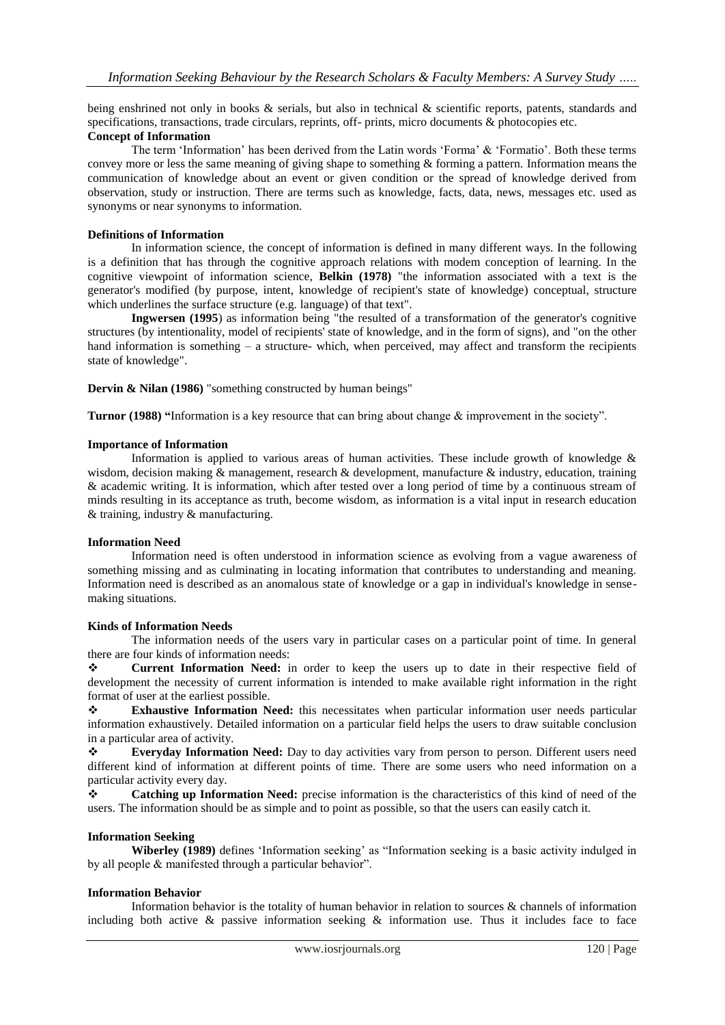being enshrined not only in books & serials, but also in technical & scientific reports, patents, standards and specifications, transactions, trade circulars, reprints, off- prints, micro documents  $\&$  photocopies etc.

### **Concept of Information**

The term 'Information' has been derived from the Latin words 'Forma' & 'Formatio'. Both these terms convey more or less the same meaning of giving shape to something & forming a pattern. Information means the communication of knowledge about an event or given condition or the spread of knowledge derived from observation, study or instruction. There are terms such as knowledge, facts, data, news, messages etc. used as synonyms or near synonyms to information.

### **Definitions of Information**

In information science, the concept of information is defined in many different ways. In the following is a definition that has through the cognitive approach relations with modem conception of learning. In the cognitive viewpoint of information science, **Belkin (1978)** "the information associated with a text is the generator's modified (by purpose, intent, knowledge of recipient's state of knowledge) conceptual, structure which underlines the surface structure (e.g. language) of that text".

**Ingwersen (1995**) as information being "the resulted of a transformation of the generator's cognitive structures (by intentionality, model of recipients' state of knowledge, and in the form of signs), and "on the other hand information is something  $-$  a structure- which, when perceived, may affect and transform the recipients state of knowledge".

**Dervin & Nilan (1986)** "something constructed by human beings"

**Turnor (1988) "**Information is a key resource that can bring about change & improvement in the society".

### **Importance of Information**

Information is applied to various areas of human activities. These include growth of knowledge  $\&$ wisdom, decision making  $\&$  management, research  $\&$  development, manufacture  $\&$  industry, education, training & academic writing. It is information, which after tested over a long period of time by a continuous stream of minds resulting in its acceptance as truth, become wisdom, as information is a vital input in research education & training, industry & manufacturing.

#### **Information Need**

Information need is often understood in information science as evolving from a vague awareness of something missing and as culminating in locating information that contributes to understanding and meaning. Information need is described as an anomalous state of knowledge or a gap in individual's knowledge in sensemaking situations.

# **Kinds of Information Needs**

The information needs of the users vary in particular cases on a particular point of time. In general there are four kinds of information needs:

**Current Information Need:** in order to keep the users up to date in their respective field of development the necessity of current information is intended to make available right information in the right format of user at the earliest possible.

 **Exhaustive Information Need:** this necessitates when particular information user needs particular information exhaustively. Detailed information on a particular field helps the users to draw suitable conclusion in a particular area of activity.

 **Everyday Information Need:** Day to day activities vary from person to person. Different users need different kind of information at different points of time. There are some users who need information on a particular activity every day.

 **Catching up Information Need:** precise information is the characteristics of this kind of need of the users. The information should be as simple and to point as possible, so that the users can easily catch it.

# **Information Seeking**

**Wiberley (1989)** defines 'Information seeking' as "Information seeking is a basic activity indulged in by all people & manifested through a particular behavior".

# **Information Behavior**

Information behavior is the totality of human behavior in relation to sources  $\&$  channels of information including both active  $\&$  passive information seeking  $\&$  information use. Thus it includes face to face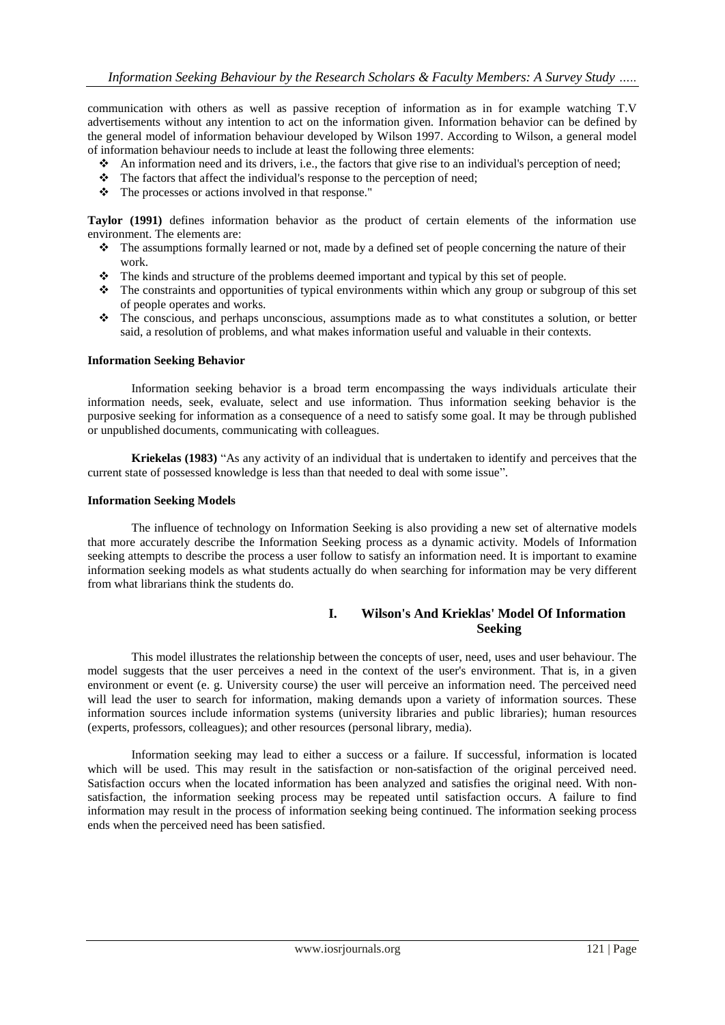communication with others as well as passive reception of information as in for example watching T.V advertisements without any intention to act on the information given. Information behavior can be defined by the general model of information behaviour developed by Wilson 1997. According to Wilson, a general model of information behaviour needs to include at least the following three elements:

- An information need and its drivers, i.e., the factors that give rise to an individual's perception of need;
- $\triangle$  The factors that affect the individual's response to the perception of need;
- \* The processes or actions involved in that response."

**Taylor (1991)** defines information behavior as the product of certain elements of the information use environment. The elements are:

- The assumptions formally learned or not, made by a defined set of people concerning the nature of their work.
- The kinds and structure of the problems deemed important and typical by this set of people.
- The constraints and opportunities of typical environments within which any group or subgroup of this set of people operates and works.
- The conscious, and perhaps unconscious, assumptions made as to what constitutes a solution, or better said, a resolution of problems, and what makes information useful and valuable in their contexts.

### **Information Seeking Behavior**

Information seeking behavior is a broad term encompassing the ways individuals articulate their information needs, seek, evaluate, select and use information. Thus information seeking behavior is the purposive seeking for information as a consequence of a need to satisfy some goal. It may be through published or unpublished documents, communicating with colleagues.

**Kriekelas (1983)** "As any activity of an individual that is undertaken to identify and perceives that the current state of possessed knowledge is less than that needed to deal with some issue".

### **Information Seeking Models**

The influence of technology on Information Seeking is also providing a new set of alternative models that more accurately describe the Information Seeking process as a dynamic activity. Models of Information seeking attempts to describe the process a user follow to satisfy an information need. It is important to examine information seeking models as what students actually do when searching for information may be very different from what librarians think the students do.

# **I. Wilson's And Krieklas' Model Of Information Seeking**

This model illustrates the relationship between the concepts of user, need, uses and user behaviour. The model suggests that the user perceives a need in the context of the user's environment. That is, in a given environment or event (e. g. University course) the user will perceive an information need. The perceived need will lead the user to search for information, making demands upon a variety of information sources. These information sources include information systems (university libraries and public libraries); human resources (experts, professors, colleagues); and other resources (personal library, media).

Information seeking may lead to either a success or a failure. If successful, information is located which will be used. This may result in the satisfaction or non-satisfaction of the original perceived need. Satisfaction occurs when the located information has been analyzed and satisfies the original need. With nonsatisfaction, the information seeking process may be repeated until satisfaction occurs. A failure to find information may result in the process of information seeking being continued. The information seeking process ends when the perceived need has been satisfied.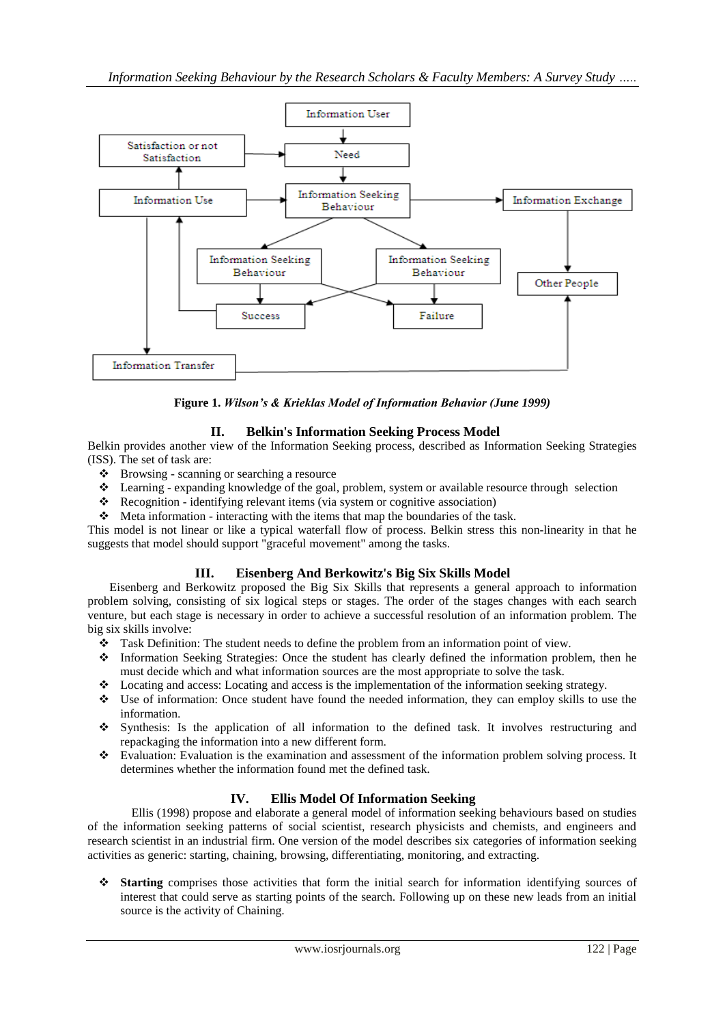

**Figure 1.** *Wilson's & Krieklas Model of Information Behavior (June 1999)*

# **II. Belkin's Information Seeking Process Model**

Belkin provides another view of the Information Seeking process, described as Information Seeking Strategies (ISS). The set of task are:

- Browsing scanning or searching a resource
- Learning expanding knowledge of the goal, problem, system or available resource through selection
- Recognition identifying relevant items (via system or cognitive association)
- Meta information interacting with the items that map the boundaries of the task.

This model is not linear or like a typical waterfall flow of process. Belkin stress this non-linearity in that he suggests that model should support "graceful movement" among the tasks.

# **III. Eisenberg And Berkowitz's Big Six Skills Model**

Eisenberg and Berkowitz proposed the Big Six Skills that represents a general approach to information problem solving, consisting of six logical steps or stages. The order of the stages changes with each search venture, but each stage is necessary in order to achieve a successful resolution of an information problem. The big six skills involve:

- \* Task Definition: The student needs to define the problem from an information point of view.
- Information Seeking Strategies: Once the student has clearly defined the information problem, then he must decide which and what information sources are the most appropriate to solve the task.
- Locating and access: Locating and access is the implementation of the information seeking strategy.
- Use of information: Once student have found the needed information, they can employ skills to use the information.
- Synthesis: Is the application of all information to the defined task. It involves restructuring and repackaging the information into a new different form.
- Evaluation: Evaluation is the examination and assessment of the information problem solving process. It determines whether the information found met the defined task.

# **IV. Ellis Model Of Information Seeking**

Ellis (1998) propose and elaborate a general model of information seeking behaviours based on studies of the information seeking patterns of social scientist, research physicists and chemists, and engineers and research scientist in an industrial firm. One version of the model describes six categories of information seeking activities as generic: starting, chaining, browsing, differentiating, monitoring, and extracting.

 **Starting** comprises those activities that form the initial search for information identifying sources of interest that could serve as starting points of the search. Following up on these new leads from an initial source is the activity of Chaining.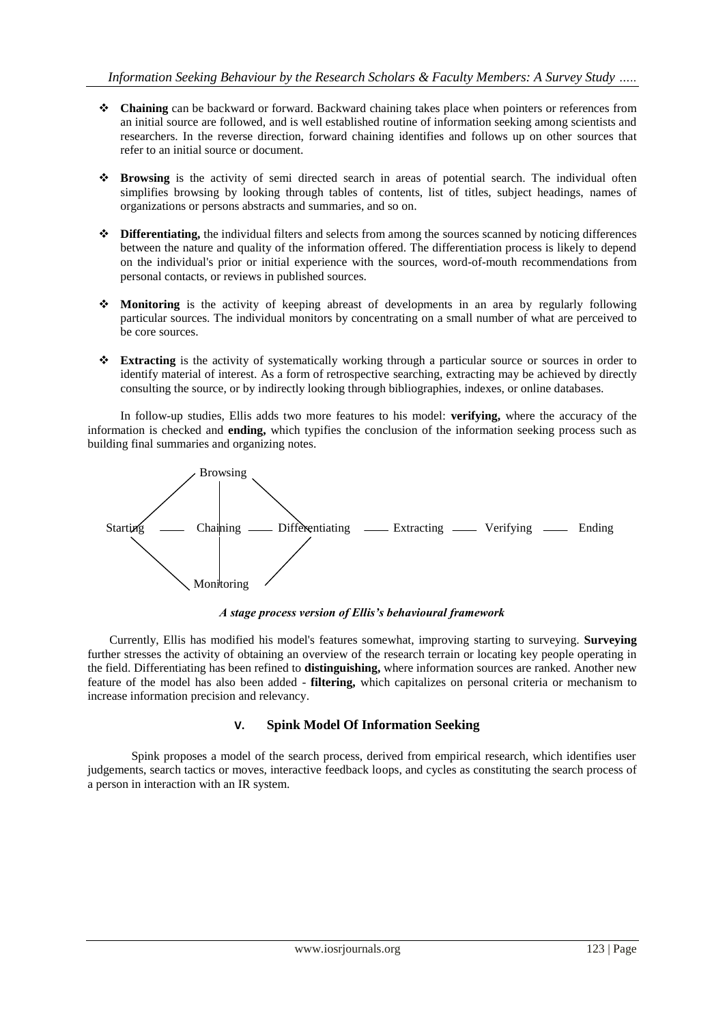- **Chaining** can be backward or forward. Backward chaining takes place when pointers or references from an initial source are followed, and is well established routine of information seeking among scientists and researchers. In the reverse direction, forward chaining identifies and follows up on other sources that refer to an initial source or document.
- **Browsing** is the activity of semi directed search in areas of potential search. The individual often simplifies browsing by looking through tables of contents, list of titles, subject headings, names of organizations or persons abstracts and summaries, and so on.
- **Differentiating,** the individual filters and selects from among the sources scanned by noticing differences between the nature and quality of the information offered. The differentiation process is likely to depend on the individual's prior or initial experience with the sources, word-of-mouth recommendations from personal contacts, or reviews in published sources.
- **Monitoring** is the activity of keeping abreast of developments in an area by regularly following particular sources. The individual monitors by concentrating on a small number of what are perceived to be core sources.
- **Extracting** is the activity of systematically working through a particular source or sources in order to identify material of interest. As a form of retrospective searching, extracting may be achieved by directly consulting the source, or by indirectly looking through bibliographies, indexes, or online databases.

In follow-up studies, Ellis adds two more features to his model: **verifying,** where the accuracy of the information is checked and **ending,** which typifies the conclusion of the information seeking process such as building final summaries and organizing notes.



*A stage process version of Ellis's behavioural framework*

Currently, Ellis has modified his model's features somewhat, improving starting to surveying. **Surveying**  further stresses the activity of obtaining an overview of the research terrain or locating key people operating in the field. Differentiating has been refined to **distinguishing,** where information sources are ranked. Another new feature of the model has also been added - **filtering,** which capitalizes on personal criteria or mechanism to increase information precision and relevancy.

# **V. Spink Model Of Information Seeking**

Spink proposes a model of the search process, derived from empirical research, which identifies user judgements, search tactics or moves, interactive feedback loops, and cycles as constituting the search process of a person in interaction with an IR system.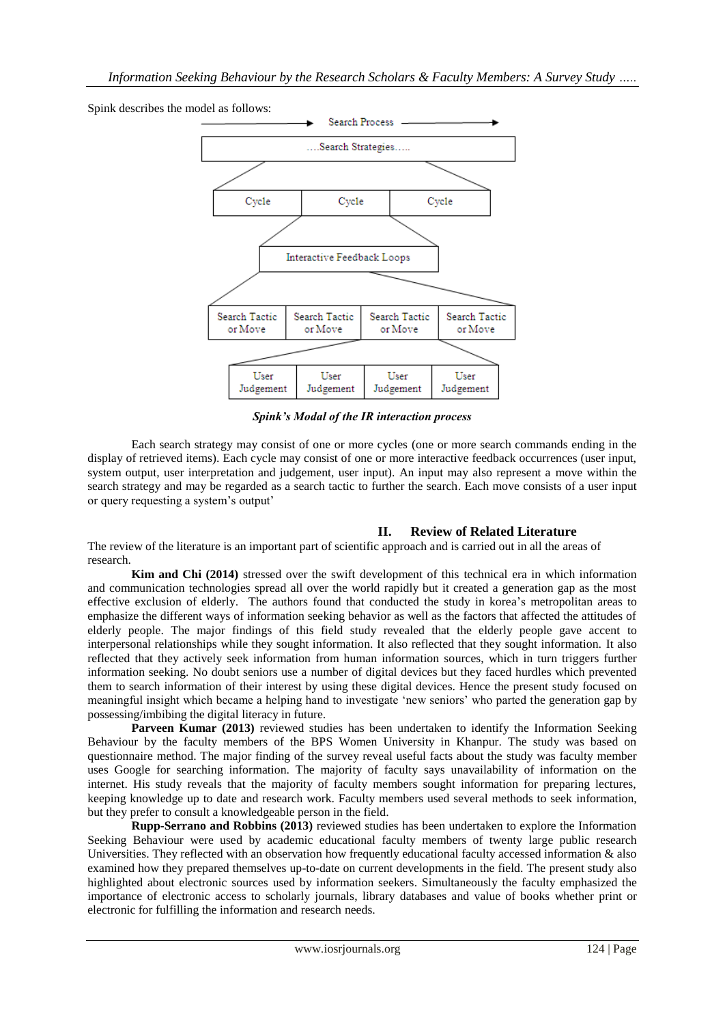

Spink describes the model as follows:

*Spink's Modal of the IR interaction process*

Each search strategy may consist of one or more cycles (one or more search commands ending in the display of retrieved items). Each cycle may consist of one or more interactive feedback occurrences (user input, system output, user interpretation and judgement, user input). An input may also represent a move within the search strategy and may be regarded as a search tactic to further the search. Each move consists of a user input or query requesting a system"s output"

# **II. Review of Related Literature**

The review of the literature is an important part of scientific approach and is carried out in all the areas of research.

**Kim and Chi (2014)** stressed over the swift development of this technical era in which information and communication technologies spread all over the world rapidly but it created a generation gap as the most effective exclusion of elderly. The authors found that conducted the study in korea's metropolitan areas to emphasize the different ways of information seeking behavior as well as the factors that affected the attitudes of elderly people. The major findings of this field study revealed that the elderly people gave accent to interpersonal relationships while they sought information. It also reflected that they sought information. It also reflected that they actively seek information from human information sources, which in turn triggers further information seeking. No doubt seniors use a number of digital devices but they faced hurdles which prevented them to search information of their interest by using these digital devices. Hence the present study focused on meaningful insight which became a helping hand to investigate "new seniors" who parted the generation gap by possessing/imbibing the digital literacy in future.

**Parveen Kumar (2013)** reviewed studies has been undertaken to identify the Information Seeking Behaviour by the faculty members of the BPS Women University in Khanpur. The study was based on questionnaire method. The major finding of the survey reveal useful facts about the study was faculty member uses Google for searching information. The majority of faculty says unavailability of information on the internet. His study reveals that the majority of faculty members sought information for preparing lectures, keeping knowledge up to date and research work. Faculty members used several methods to seek information, but they prefer to consult a knowledgeable person in the field.

**Rupp-Serrano and Robbins (2013)** reviewed studies has been undertaken to explore the Information Seeking Behaviour were used by academic educational faculty members of twenty large public research Universities. They reflected with an observation how frequently educational faculty accessed information & also examined how they prepared themselves up-to-date on current developments in the field. The present study also highlighted about electronic sources used by information seekers. Simultaneously the faculty emphasized the importance of electronic access to scholarly journals, library databases and value of books whether print or electronic for fulfilling the information and research needs.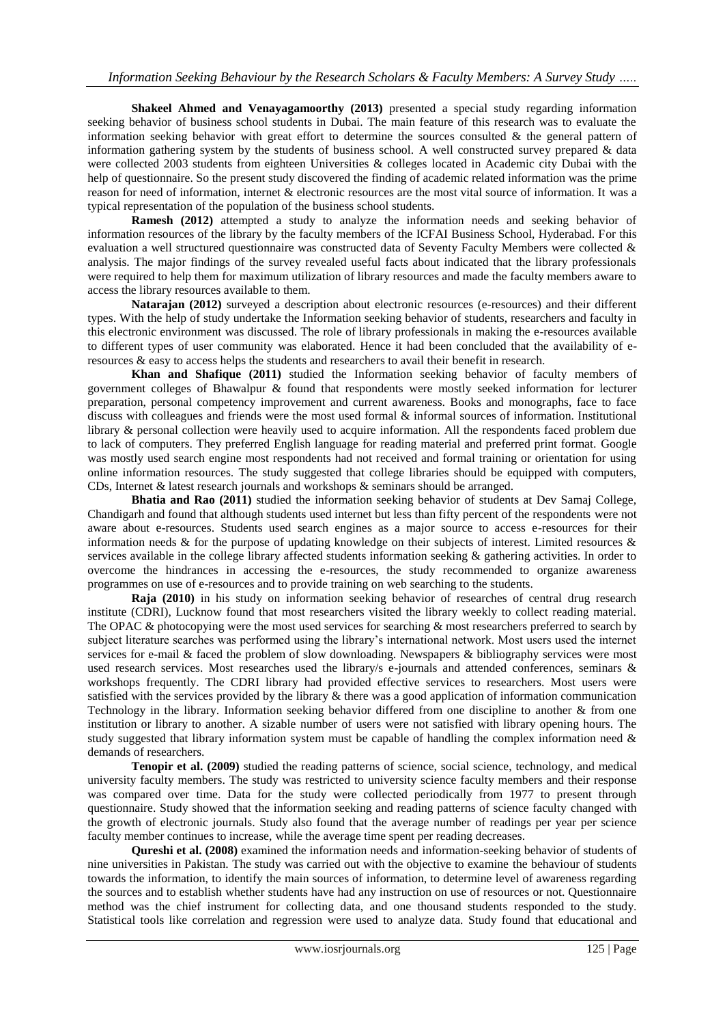**Shakeel Ahmed and Venayagamoorthy (2013)** presented a special study regarding information seeking behavior of business school students in Dubai. The main feature of this research was to evaluate the information seeking behavior with great effort to determine the sources consulted  $\&$  the general pattern of information gathering system by the students of business school. A well constructed survey prepared & data were collected 2003 students from eighteen Universities & colleges located in Academic city Dubai with the help of questionnaire. So the present study discovered the finding of academic related information was the prime reason for need of information, internet & electronic resources are the most vital source of information. It was a typical representation of the population of the business school students.

**Ramesh (2012)** attempted a study to analyze the information needs and seeking behavior of information resources of the library by the faculty members of the ICFAI Business School, Hyderabad. For this evaluation a well structured questionnaire was constructed data of Seventy Faculty Members were collected & analysis. The major findings of the survey revealed useful facts about indicated that the library professionals were required to help them for maximum utilization of library resources and made the faculty members aware to access the library resources available to them.

**Natarajan (2012)** surveyed a description about electronic resources (e-resources) and their different types. With the help of study undertake the Information seeking behavior of students, researchers and faculty in this electronic environment was discussed. The role of library professionals in making the e-resources available to different types of user community was elaborated. Hence it had been concluded that the availability of eresources & easy to access helps the students and researchers to avail their benefit in research.

**Khan and Shafique (2011)** studied the Information seeking behavior of faculty members of government colleges of Bhawalpur & found that respondents were mostly seeked information for lecturer preparation, personal competency improvement and current awareness. Books and monographs, face to face discuss with colleagues and friends were the most used formal & informal sources of information. Institutional library & personal collection were heavily used to acquire information. All the respondents faced problem due to lack of computers. They preferred English language for reading material and preferred print format. Google was mostly used search engine most respondents had not received and formal training or orientation for using online information resources. The study suggested that college libraries should be equipped with computers, CDs, Internet & latest research journals and workshops & seminars should be arranged.

**Bhatia and Rao (2011)** studied the information seeking behavior of students at Dev Samaj College, Chandigarh and found that although students used internet but less than fifty percent of the respondents were not aware about e-resources. Students used search engines as a major source to access e-resources for their information needs  $\&$  for the purpose of updating knowledge on their subjects of interest. Limited resources  $\&$ services available in the college library affected students information seeking & gathering activities. In order to overcome the hindrances in accessing the e-resources, the study recommended to organize awareness programmes on use of e-resources and to provide training on web searching to the students.

**Raja (2010)** in his study on information seeking behavior of researches of central drug research institute (CDRI), Lucknow found that most researchers visited the library weekly to collect reading material. The OPAC & photocopying were the most used services for searching & most researchers preferred to search by subject literature searches was performed using the library"s international network. Most users used the internet services for e-mail & faced the problem of slow downloading. Newspapers & bibliography services were most used research services. Most researches used the library/s e-journals and attended conferences, seminars & workshops frequently. The CDRI library had provided effective services to researchers. Most users were satisfied with the services provided by the library & there was a good application of information communication Technology in the library. Information seeking behavior differed from one discipline to another & from one institution or library to another. A sizable number of users were not satisfied with library opening hours. The study suggested that library information system must be capable of handling the complex information need  $\&$ demands of researchers.

**Tenopir et al. (2009)** studied the reading patterns of science, social science, technology, and medical university faculty members. The study was restricted to university science faculty members and their response was compared over time. Data for the study were collected periodically from 1977 to present through questionnaire. Study showed that the information seeking and reading patterns of science faculty changed with the growth of electronic journals. Study also found that the average number of readings per year per science faculty member continues to increase, while the average time spent per reading decreases.

**Qureshi et al. (2008)** examined the information needs and information-seeking behavior of students of nine universities in Pakistan. The study was carried out with the objective to examine the behaviour of students towards the information, to identify the main sources of information, to determine level of awareness regarding the sources and to establish whether students have had any instruction on use of resources or not. Questionnaire method was the chief instrument for collecting data, and one thousand students responded to the study. Statistical tools like correlation and regression were used to analyze data. Study found that educational and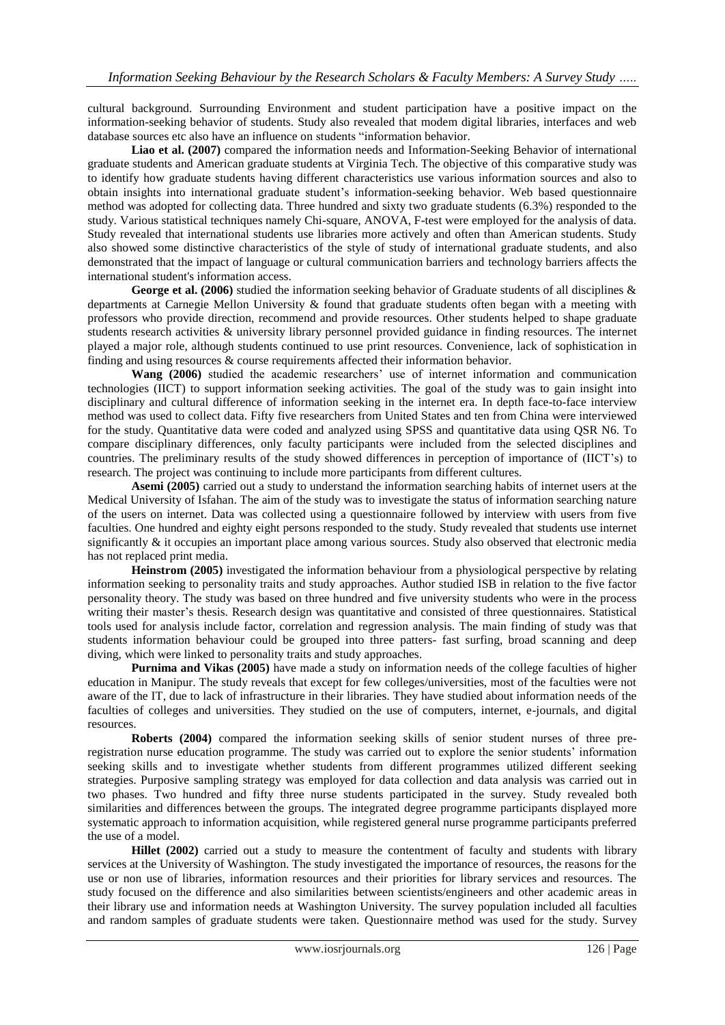cultural background. Surrounding Environment and student participation have a positive impact on the information-seeking behavior of students. Study also revealed that modem digital libraries, interfaces and web database sources etc also have an influence on students "information behavior.

**Liao et al. (2007)** compared the information needs and Information-Seeking Behavior of international graduate students and American graduate students at Virginia Tech. The objective of this comparative study was to identify how graduate students having different characteristics use various information sources and also to obtain insights into international graduate student"s information-seeking behavior. Web based questionnaire method was adopted for collecting data. Three hundred and sixty two graduate students (6.3%) responded to the study. Various statistical techniques namely Chi-square, ANOVA, F-test were employed for the analysis of data. Study revealed that international students use libraries more actively and often than American students. Study also showed some distinctive characteristics of the style of study of international graduate students, and also demonstrated that the impact of language or cultural communication barriers and technology barriers affects the international student's information access.

**George et al. (2006)** studied the information seeking behavior of Graduate students of all disciplines & departments at Carnegie Mellon University & found that graduate students often began with a meeting with professors who provide direction, recommend and provide resources. Other students helped to shape graduate students research activities & university library personnel provided guidance in finding resources. The internet played a major role, although students continued to use print resources. Convenience, lack of sophistication in finding and using resources & course requirements affected their information behavior.

Wang (2006) studied the academic researchers' use of internet information and communication technologies (IICT) to support information seeking activities. The goal of the study was to gain insight into disciplinary and cultural difference of information seeking in the internet era. In depth face-to-face interview method was used to collect data. Fifty five researchers from United States and ten from China were interviewed for the study. Quantitative data were coded and analyzed using SPSS and quantitative data using QSR N6. To compare disciplinary differences, only faculty participants were included from the selected disciplines and countries. The preliminary results of the study showed differences in perception of importance of (IICT"s) to research. The project was continuing to include more participants from different cultures.

**Asemi (2005)** carried out a study to understand the information searching habits of internet users at the Medical University of Isfahan. The aim of the study was to investigate the status of information searching nature of the users on internet. Data was collected using a questionnaire followed by interview with users from five faculties. One hundred and eighty eight persons responded to the study. Study revealed that students use internet significantly & it occupies an important place among various sources. Study also observed that electronic media has not replaced print media.

**Heinstrom (2005)** investigated the information behaviour from a physiological perspective by relating information seeking to personality traits and study approaches. Author studied ISB in relation to the five factor personality theory. The study was based on three hundred and five university students who were in the process writing their master's thesis. Research design was quantitative and consisted of three questionnaires. Statistical tools used for analysis include factor, correlation and regression analysis. The main finding of study was that students information behaviour could be grouped into three patters- fast surfing, broad scanning and deep diving, which were linked to personality traits and study approaches.

**Purnima and Vikas (2005)** have made a study on information needs of the college faculties of higher education in Manipur. The study reveals that except for few colleges/universities, most of the faculties were not aware of the IT, due to lack of infrastructure in their libraries. They have studied about information needs of the faculties of colleges and universities. They studied on the use of computers, internet, e-journals, and digital resources.

**Roberts (2004)** compared the information seeking skills of senior student nurses of three preregistration nurse education programme. The study was carried out to explore the senior students" information seeking skills and to investigate whether students from different programmes utilized different seeking strategies. Purposive sampling strategy was employed for data collection and data analysis was carried out in two phases. Two hundred and fifty three nurse students participated in the survey. Study revealed both similarities and differences between the groups. The integrated degree programme participants displayed more systematic approach to information acquisition, while registered general nurse programme participants preferred the use of a model.

**Hillet (2002)** carried out a study to measure the contentment of faculty and students with library services at the University of Washington. The study investigated the importance of resources, the reasons for the use or non use of libraries, information resources and their priorities for library services and resources. The study focused on the difference and also similarities between scientists/engineers and other academic areas in their library use and information needs at Washington University. The survey population included all faculties and random samples of graduate students were taken. Questionnaire method was used for the study. Survey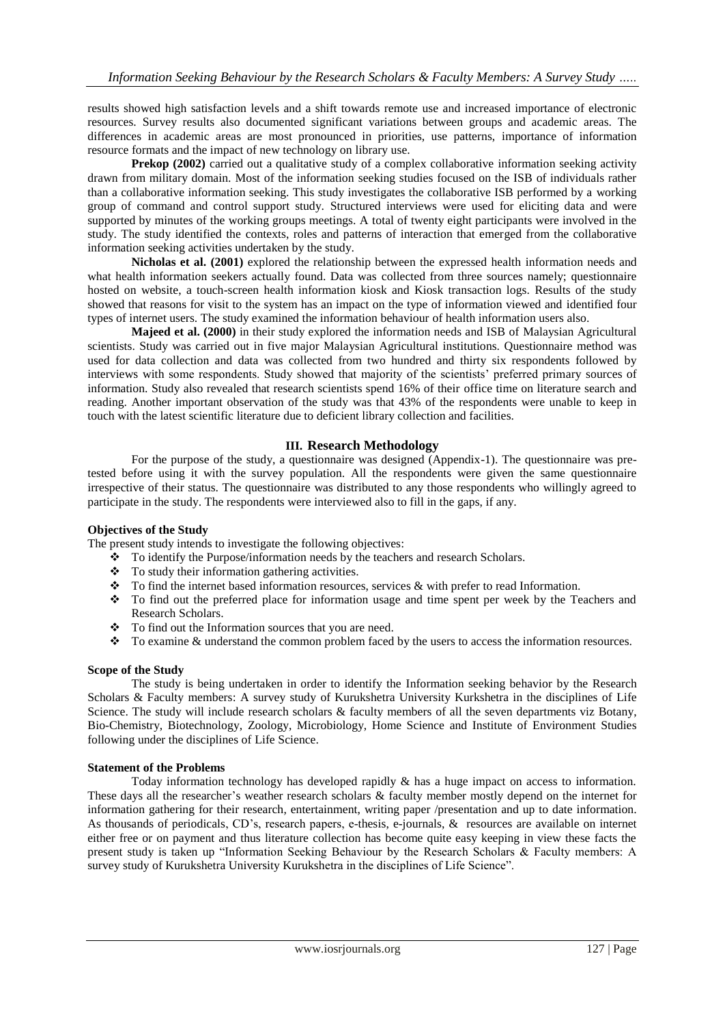results showed high satisfaction levels and a shift towards remote use and increased importance of electronic resources. Survey results also documented significant variations between groups and academic areas. The differences in academic areas are most pronounced in priorities, use patterns, importance of information resource formats and the impact of new technology on library use.

**Prekop (2002)** carried out a qualitative study of a complex collaborative information seeking activity drawn from military domain. Most of the information seeking studies focused on the ISB of individuals rather than a collaborative information seeking. This study investigates the collaborative ISB performed by a working group of command and control support study. Structured interviews were used for eliciting data and were supported by minutes of the working groups meetings. A total of twenty eight participants were involved in the study. The study identified the contexts, roles and patterns of interaction that emerged from the collaborative information seeking activities undertaken by the study.

**Nicholas et al. (2001)** explored the relationship between the expressed health information needs and what health information seekers actually found. Data was collected from three sources namely; questionnaire hosted on website, a touch-screen health information kiosk and Kiosk transaction logs. Results of the study showed that reasons for visit to the system has an impact on the type of information viewed and identified four types of internet users. The study examined the information behaviour of health information users also.

**Majeed et al. (2000)** in their study explored the information needs and ISB of Malaysian Agricultural scientists. Study was carried out in five major Malaysian Agricultural institutions. Questionnaire method was used for data collection and data was collected from two hundred and thirty six respondents followed by interviews with some respondents. Study showed that majority of the scientists' preferred primary sources of information. Study also revealed that research scientists spend 16% of their office time on literature search and reading. Another important observation of the study was that 43% of the respondents were unable to keep in touch with the latest scientific literature due to deficient library collection and facilities.

# **III. Research Methodology**

For the purpose of the study, a questionnaire was designed (Appendix-1). The questionnaire was pretested before using it with the survey population. All the respondents were given the same questionnaire irrespective of their status. The questionnaire was distributed to any those respondents who willingly agreed to participate in the study. The respondents were interviewed also to fill in the gaps, if any.

# **Objectives of the Study**

The present study intends to investigate the following objectives:

- $\bullet$  To identify the Purpose/information needs by the teachers and research Scholars.
- \* To study their information gathering activities.
- \* To find the internet based information resources, services & with prefer to read Information.
- To find out the preferred place for information usage and time spent per week by the Teachers and Research Scholars.
- \* To find out the Information sources that you are need.
- \* To examine & understand the common problem faced by the users to access the information resources.

# **Scope of the Study**

The study is being undertaken in order to identify the Information seeking behavior by the Research Scholars & Faculty members: A survey study of Kurukshetra University Kurkshetra in the disciplines of Life Science. The study will include research scholars & faculty members of all the seven departments viz Botany, Bio-Chemistry, Biotechnology, Zoology, Microbiology, Home Science and Institute of Environment Studies following under the disciplines of Life Science.

#### **Statement of the Problems**

Today information technology has developed rapidly & has a huge impact on access to information. These days all the researcher"s weather research scholars & faculty member mostly depend on the internet for information gathering for their research, entertainment, writing paper /presentation and up to date information. As thousands of periodicals, CD"s, research papers, e-thesis, e-journals, & resources are available on internet either free or on payment and thus literature collection has become quite easy keeping in view these facts the present study is taken up "Information Seeking Behaviour by the Research Scholars & Faculty members: A survey study of Kurukshetra University Kurukshetra in the disciplines of Life Science".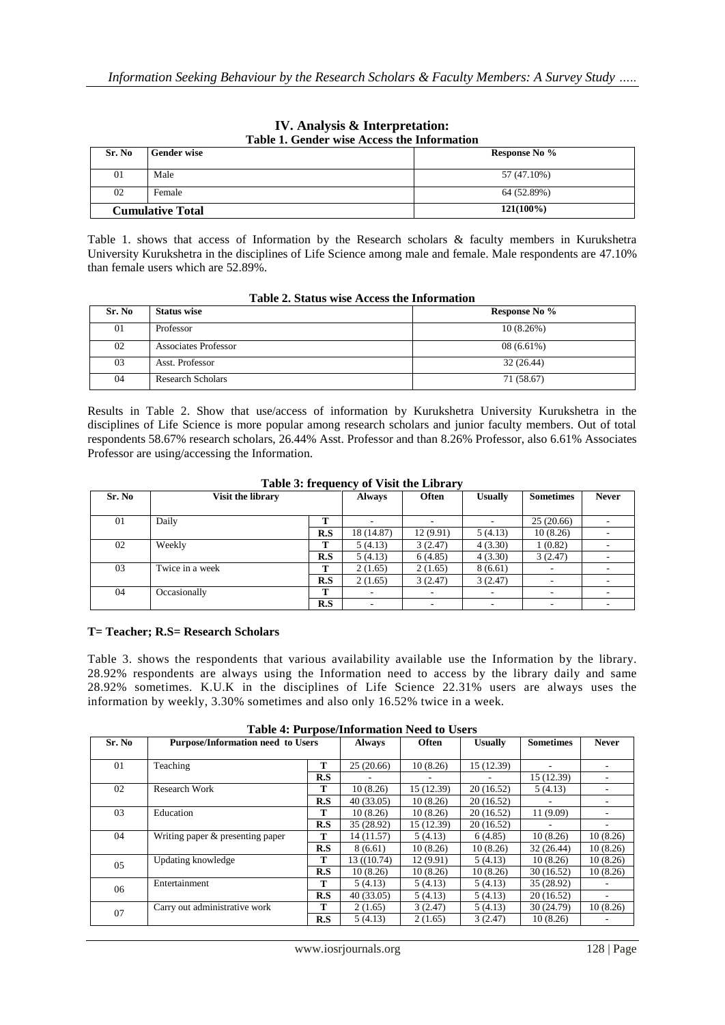| Sr. No                  | <b>Gender wise</b> | Response No % |
|-------------------------|--------------------|---------------|
| 01                      | Male               | 57 (47.10%)   |
| 02                      | Female             | 64 (52.89%)   |
| <b>Cumulative Total</b> |                    | $121(100\%)$  |

### **IV. Analysis & Interpretation: Table 1. Gender wise Access the Information**

Table 1. shows that access of Information by the Research scholars & faculty members in Kurukshetra University Kurukshetra in the disciplines of Life Science among male and female. Male respondents are 47.10% than female users which are 52.89%.

|        | TWAIL TO DAMAN HADE TERRADA AND THEOTHING AND |               |
|--------|-----------------------------------------------|---------------|
| Sr. No | <b>Status wise</b>                            | Response No % |
| 01     | Professor                                     | 10(8.26%)     |
| 02     | Associates Professor                          | $08(6.61\%)$  |
| 03     | Asst. Professor                               | 32(26.44)     |
| 04     | <b>Research Scholars</b>                      | 71 (58.67)    |

# **Table 2. Status wise Access the Information**

Results in Table 2. Show that use/access of information by Kurukshetra University Kurukshetra in the disciplines of Life Science is more popular among research scholars and junior faculty members. Out of total respondents 58.67% research scholars, 26.44% Asst. Professor and than 8.26% Professor, also 6.61% Associates Professor are using/accessing the Information.

| Table 3: frequency of Visit the Library |  |  |  |  |  |  |
|-----------------------------------------|--|--|--|--|--|--|
|-----------------------------------------|--|--|--|--|--|--|

| Sr. No | Visit the library |     | <b>Always</b>            | <b>Often</b> | <b>Usually</b>           | <b>Sometimes</b>         | <b>Never</b> |
|--------|-------------------|-----|--------------------------|--------------|--------------------------|--------------------------|--------------|
|        |                   |     |                          |              |                          |                          |              |
| 01     | Daily             | m   |                          |              |                          | 25(20.66)                |              |
|        |                   | R.S | 18 (14.87)               | 12(9.91)     | 5(4.13)                  | 10(8.26)                 |              |
| 02     | Weekly            | т   | 5(4.13)                  | 3(2.47)      | 4(3.30)                  | (0.82)                   |              |
|        |                   | R.S | 5(4.13)                  | 6(4.85)      | 4(3.30)                  | 3(2.47)                  |              |
| 03     | Twice in a week   | m   | 2(1.65)                  | 2(1.65)      | 8(6.61)                  |                          |              |
|        |                   | R.S | 2(1.65)                  | 3(2.47)      | 3(2.47)                  | ۰                        |              |
| 04     | Occasionally      | Т   | $\overline{\phantom{a}}$ |              | $\overline{\phantom{a}}$ | $\overline{\phantom{a}}$ |              |
|        |                   | R.S | $\overline{\phantom{a}}$ |              | $\overline{\phantom{a}}$ |                          |              |

# **T= Teacher; R.S= Research Scholars**

Table 3. shows the respondents that various availability available use the Information by the library. 28.92% respondents are always using the Information need to access by the library daily and same 28.92% sometimes. K.U.K in the disciplines of Life Science 22.31% users are always uses the information by weekly, 3.30% sometimes and also only 16.52% twice in a week.

| Sr. No | <b>Purpose/Information need to Users</b> | $\cdots$ $\cdots$ $\cdots$ $\cdots$ $\cdots$ | <b>Always</b> | <b>Often</b> | <b>Usually</b> | <b>Sometimes</b> | <b>Never</b> |
|--------|------------------------------------------|----------------------------------------------|---------------|--------------|----------------|------------------|--------------|
|        |                                          |                                              |               |              |                |                  |              |
|        |                                          |                                              |               |              |                |                  |              |
| 01     | Teaching                                 | т                                            | 25(20.66)     | 10(8.26)     | 15 (12.39)     |                  |              |
|        |                                          | R.S                                          |               |              |                | 15 (12.39)       |              |
| 02     | Research Work                            | т                                            | 10(8.26)      | 15 (12.39)   | 20(16.52)      | 5(4.13)          |              |
|        |                                          | R.S                                          | 40(33.05)     | 10(8.26)     | 20(16.52)      |                  |              |
| 03     | Education                                | т                                            | 10(8.26)      | 10(8.26)     | 20(16.52)      | 11 (9.09)        |              |
|        |                                          | R.S                                          | 35 (28.92)    | 15 (12.39)   | 20(16.52)      |                  |              |
| 04     | Writing paper & presenting paper         | т                                            | 14 (11.57)    | 5(4.13)      | 6(4.85)        | 10(8.26)         | 10(8.26)     |
|        |                                          | R.S                                          | 8(6.61)       | 10(8.26)     | 10(8.26)       | 32 (26.44)       | 10(8.26)     |
| 05     | Updating knowledge                       | т                                            | 13 ((10.74)   | 12(9.91)     | 5(4.13)        | 10(8.26)         | 10(8.26)     |
|        |                                          | R.S                                          | 10(8.26)      | 10(8.26)     | 10(8.26)       | 30 (16.52)       | 10(8.26)     |
| 06     | Entertainment                            | т                                            | 5(4.13)       | 5(4.13)      | 5(4.13)        | 35 (28.92)       |              |
|        |                                          | R.S                                          | 40(33.05)     | 5(4.13)      | 5(4.13)        | 20(16.52)        |              |
| 07     | Carry out administrative work            | т                                            | 2(1.65)       | 3(2.47)      | 5(4.13)        | 30 (24.79)       | 10(8.26)     |
|        |                                          | R.S                                          | 5(4.13)       | 2(1.65)      | 3(2.47)        | 10(8.26)         |              |

**Table 4: Purpose/Information Need to Users**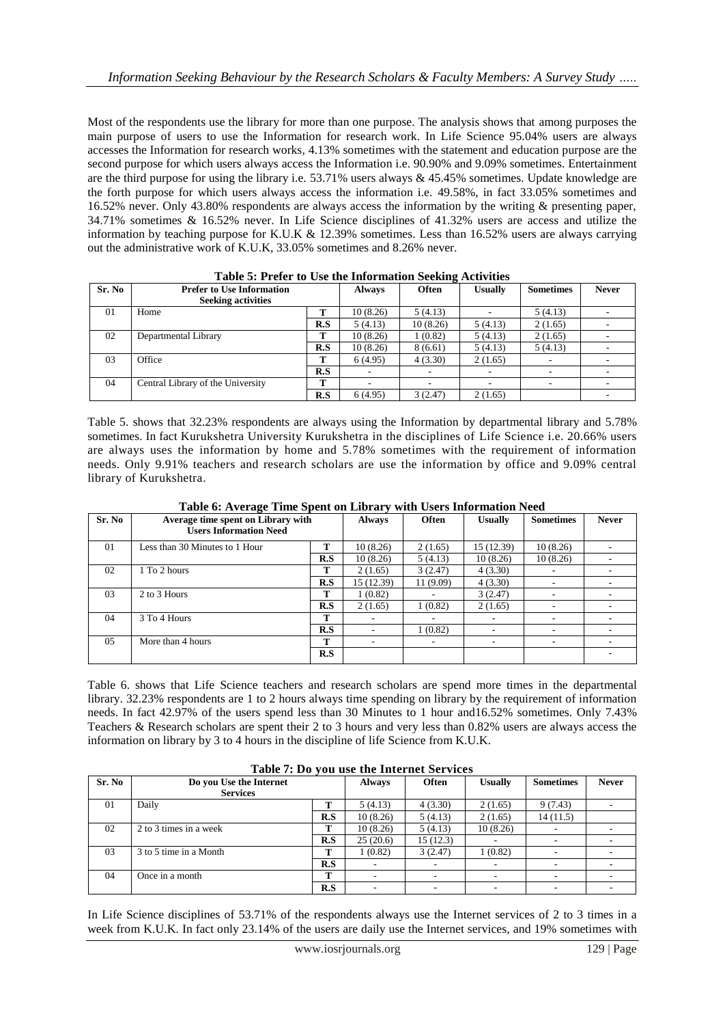Most of the respondents use the library for more than one purpose. The analysis shows that among purposes the main purpose of users to use the Information for research work. In Life Science 95.04% users are always accesses the Information for research works, 4.13% sometimes with the statement and education purpose are the second purpose for which users always access the Information i.e. 90.90% and 9.09% sometimes. Entertainment are the third purpose for using the library i.e.  $53.71\%$  users always & 45.45% sometimes. Update knowledge are the forth purpose for which users always access the information i.e. 49.58%, in fact 33.05% sometimes and 16.52% never. Only 43.80% respondents are always access the information by the writing & presenting paper, 34.71% sometimes & 16.52% never. In Life Science disciplines of 41.32% users are access and utilize the information by teaching purpose for K.U.K  $& 12.39\%$  sometimes. Less than 16.52% users are always carrying out the administrative work of K.U.K, 33.05% sometimes and 8.26% never.

| Sr. No | <b>Prefer to Use Information</b><br><b>Seeking activities</b> |     | <b>Always</b> | -<br><b>Often</b> | <b>Usually</b> | <b>Sometimes</b> | <b>Never</b> |
|--------|---------------------------------------------------------------|-----|---------------|-------------------|----------------|------------------|--------------|
| 01     | Home                                                          | т   | 10(8.26)      | 5(4.13)           |                | 5(4.13)          |              |
|        |                                                               | R.S | 5(4.13)       | 10(8.26)          | 5(4.13)        | 2(1.65)          |              |
| 02     | Departmental Library                                          | т   | 10(8.26)      | 1(0.82)           | 5(4.13)        | 2(1.65)          |              |
|        |                                                               | R.S | 10(8.26)      | 8(6.61)           | 5(4.13)        | 5(4.13)          |              |
| 03     | Office                                                        | т   | 6(4.95)       | 4(3.30)           | 2(1.65)        |                  |              |
|        |                                                               | R.S |               |                   |                |                  |              |
| 04     | Central Library of the University                             | т   | ۰             |                   |                |                  |              |
|        |                                                               | R.S | 6(4.95)       | 3(2.47)           | 2(1.65)        |                  |              |

|  | Table 5: Prefer to Use the Information Seeking Activities |  |
|--|-----------------------------------------------------------|--|
|--|-----------------------------------------------------------|--|

Table 5. shows that 32.23% respondents are always using the Information by departmental library and 5.78% sometimes. In fact Kurukshetra University Kurukshetra in the disciplines of Life Science i.e. 20.66% users are always uses the information by home and 5.78% sometimes with the requirement of information needs. Only 9.91% teachers and research scholars are use the information by office and 9.09% central library of Kurukshetra.

|        | Table of Average Thile Spent on Library with Osers Information Need |     |               |              |                |                  |              |
|--------|---------------------------------------------------------------------|-----|---------------|--------------|----------------|------------------|--------------|
| Sr. No | Average time spent on Library with                                  |     | <b>Always</b> | <b>Often</b> | <b>Usually</b> | <b>Sometimes</b> | <b>Never</b> |
|        | <b>Users Information Need</b>                                       |     |               |              |                |                  |              |
| 01     | Less than 30 Minutes to 1 Hour                                      |     | 10(8.26)      | 2(1.65)      | 15 (12.39)     | 10(8.26)         |              |
|        |                                                                     | R.S | 10(8.26)      | 5(4.13)      | 10(8.26)       | 10(8.26)         |              |
| 02     | 1 To 2 hours                                                        | т   | 2(1.65)       | 3(2.47)      | 4(3.30)        |                  |              |
|        |                                                                     | R.S | 15 (12.39)    | 11 (9.09)    | 4(3.30)        |                  |              |
| 03     | 2 to 3 Hours                                                        | т   | 1(0.82)       |              | 3(2.47)        |                  |              |
|        |                                                                     | R.S | 2(1.65)       | 1(0.82)      | 2(1.65)        |                  |              |
| 04     | 3 To 4 Hours                                                        | т   |               |              |                |                  |              |
|        |                                                                     | R.S |               | 1(0.82)      | ۰              | ۰                |              |
| 0.5    | More than 4 hours                                                   | т   |               |              |                | ۰                |              |
|        |                                                                     | R.S |               |              |                |                  |              |
|        |                                                                     |     |               |              |                |                  |              |

**Table 6: Average Time Spent on Library with Users Information Need**

Table 6. shows that Life Science teachers and research scholars are spend more times in the departmental library. 32.23% respondents are 1 to 2 hours always time spending on library by the requirement of information needs. In fact 42.97% of the users spend less than 30 Minutes to 1 hour and16.52% sometimes. Only 7.43% Teachers & Research scholars are spent their 2 to 3 hours and very less than 0.82% users are always access the information on library by 3 to 4 hours in the discipline of life Science from K.U.K.

|        | Table 7. Do you use the filternet bet vices |     |               |              |                |                  |                          |
|--------|---------------------------------------------|-----|---------------|--------------|----------------|------------------|--------------------------|
| Sr. No | Do you Use the Internet                     |     | <b>Always</b> | <b>Often</b> | <b>Usually</b> | <b>Sometimes</b> | <b>Never</b>             |
|        | <b>Services</b>                             |     |               |              |                |                  |                          |
| 01     | Daily                                       |     | 5(4.13)       | 4(3.30)      | 2(1.65)        | 9(7.43)          |                          |
|        |                                             | R.S | 10(8.26)      | 5(4.13)      | 2(1.65)        | 14(11.5)         |                          |
| 02     | 2 to 3 times in a week                      | m   | 10(8.26)      | 5(4.13)      | 10(8.26)       |                  |                          |
|        |                                             | R.S | 25(20.6)      | 15(12.3)     |                |                  |                          |
| 03     | 3 to 5 time in a Month                      |     | 1(0.82)       | 3(2.47)      | 1(0.82)        |                  | $\overline{\phantom{a}}$ |
|        |                                             | R.S |               |              |                |                  |                          |
| 04     | Once in a month                             | m   |               |              |                |                  |                          |
|        |                                             | R.S |               |              |                |                  |                          |

In Life Science disciplines of 53.71% of the respondents always use the Internet services of 2 to 3 times in a week from K.U.K. In fact only 23.14% of the users are daily use the Internet services, and 19% sometimes with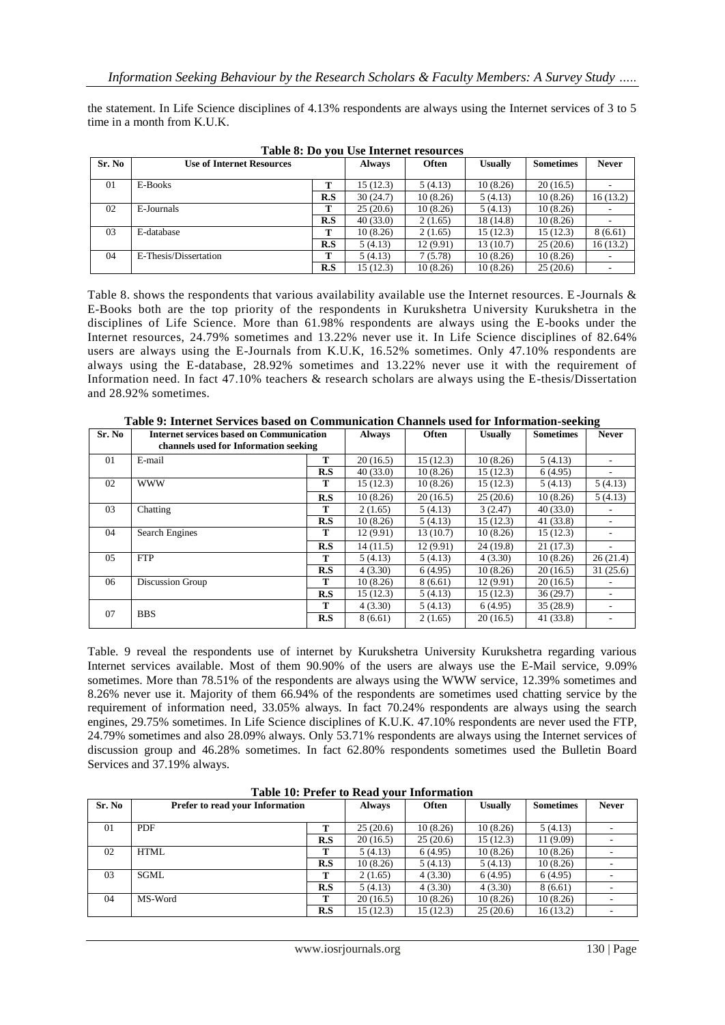the statement. In Life Science disciplines of 4.13% respondents are always using the Internet services of 3 to 5 time in a month from K.U.K.

| Sr. No | <b>Use of Internet Resources</b> |     | <b>Always</b> | <b>Often</b> | <b>Usually</b> | <b>Sometimes</b> | <b>Never</b> |
|--------|----------------------------------|-----|---------------|--------------|----------------|------------------|--------------|
| 01     | E-Books                          | m   | 15 (12.3)     | 5(4.13)      | 10(8.26)       | 20(16.5)         |              |
|        |                                  | R.S | 30(24.7)      | 10(8.26)     | 5(4.13)        | 10(8.26)         | 16(13.2)     |
| 02     | E-Journals                       | m   | 25(20.6)      | 10(8.26)     | 5(4.13)        | 10(8.26)         |              |
|        |                                  | R.S | 40(33.0)      | 2(1.65)      | 18 (14.8)      | 10(8.26)         |              |
| 03     | E-database                       | m   | 10(8.26)      | 2(1.65)      | 15(12.3)       | 15 (12.3)        | 8(6.61)      |
|        |                                  | R.S | 5(4.13)       | 12 (9.91)    | 13(10.7)       | 25(20.6)         | 16(13.2)     |
| 04     | E-Thesis/Dissertation            | m   | 5(4.13)       | 7(5.78)      | 10(8.26)       | 10(8.26)         |              |
|        |                                  | R.S | 15 (12.3)     | 10(8.26)     | 10(8.26)       | 25(20.6)         |              |

**Table 8: Do you Use Internet resources**

Table 8. shows the respondents that various availability available use the Internet resources. E-Journals & E-Books both are the top priority of the respondents in Kurukshetra University Kurukshetra in the disciplines of Life Science. More than 61.98% respondents are always using the E-books under the Internet resources, 24.79% sometimes and 13.22% never use it. In Life Science disciplines of 82.64% users are always using the E-Journals from K.U.K, 16.52% sometimes. Only 47.10% respondents are always using the E-database, 28.92% sometimes and 13.22% never use it with the requirement of Information need. In fact 47.10% teachers & research scholars are always using the E-thesis/Dissertation and 28.92% sometimes.

| Sr. No | <b>Internet services based on Communication</b><br>channels used for Information seeking |     | <b>Always</b> | <b>Often</b> | <b>Usually</b> | <b>Sometimes</b> | <b>Never</b> |
|--------|------------------------------------------------------------------------------------------|-----|---------------|--------------|----------------|------------------|--------------|
| 01     | E-mail                                                                                   | т   | 20(16.5)      | 15(12.3)     | 10(8.26)       | 5(4.13)          |              |
|        |                                                                                          | R.S | 40(33.0)      | 10(8.26)     | 15(12.3)       | 6(4.95)          |              |
| 02     | <b>WWW</b>                                                                               | т   | 15(12.3)      | 10(8.26)     | 15(12.3)       | 5(4.13)          | 5(4.13)      |
|        |                                                                                          | R.S | 10(8.26)      | 20(16.5)     | 25(20.6)       | 10(8.26)         | 5(4.13)      |
| 03     | Chatting                                                                                 | т   | 2(1.65)       | 5(4.13)      | 3(2.47)        | 40(33.0)         |              |
|        |                                                                                          | R.S | 10(8.26)      | 5(4.13)      | 15(12.3)       | 41 (33.8)        |              |
| 04     | Search Engines                                                                           | т   | 12 (9.91)     | 13(10.7)     | 10(8.26)       | 15(12.3)         |              |
|        |                                                                                          | R.S | 14(11.5)      | 12 (9.91)    | 24(19.8)       | 21(17.3)         |              |
| 05     | <b>FTP</b>                                                                               | т   | 5(4.13)       | 5(4.13)      | 4(3.30)        | 10(8.26)         | 26(21.4)     |
|        |                                                                                          | R.S | 4(3.30)       | 6(4.95)      | 10(8.26)       | 20(16.5)         | 31(25.6)     |
| 06     | Discussion Group                                                                         | т   | 10(8.26)      | 8(6.61)      | 12 (9.91)      | 20(16.5)         |              |
|        |                                                                                          | R.S | 15 (12.3)     | 5(4.13)      | 15(12.3)       | 36(29.7)         |              |
|        |                                                                                          | т   | 4(3.30)       | 5(4.13)      | 6(4.95)        | 35(28.9)         |              |
| 07     | <b>BBS</b>                                                                               | R.S | 8(6.61)       | 2(1.65)      | 20(16.5)       | 41 (33.8)        |              |

**Table 9: Internet Services based on Communication Channels used for Information-seeking**

Table. 9 reveal the respondents use of internet by Kurukshetra University Kurukshetra regarding various Internet services available. Most of them 90.90% of the users are always use the E-Mail service, 9.09% sometimes. More than 78.51% of the respondents are always using the WWW service, 12.39% sometimes and 8.26% never use it. Majority of them 66.94% of the respondents are sometimes used chatting service by the requirement of information need, 33.05% always. In fact 70.24% respondents are always using the search engines, 29.75% sometimes. In Life Science disciplines of K.U.K. 47.10% respondents are never used the FTP, 24.79% sometimes and also 28.09% always. Only 53.71% respondents are always using the Internet services of discussion group and 46.28% sometimes. In fact 62.80% respondents sometimes used the Bulletin Board Services and 37.19% always.

| Sr. No | <b>Prefer to read your Information</b> |     | <b>Always</b> | <b>Often</b> | <b>Usually</b> | <b>Sometimes</b> | <b>Never</b>             |
|--------|----------------------------------------|-----|---------------|--------------|----------------|------------------|--------------------------|
| 01     | <b>PDF</b>                             | т   | 25(20.6)      | 10(8.26)     | 10(8.26)       | 5(4.13)          | $\overline{\phantom{a}}$ |
|        |                                        | R.S | 20(16.5)      | 25(20.6)     | 15(12.3)       | 11 (9.09)        |                          |
| 02     | <b>HTML</b>                            | т   | 5(4.13)       | 6(4.95)      | 10(8.26)       | 10(8.26)         |                          |
|        |                                        | R.S | 10(8.26)      | 5(4.13)      | 5(4.13)        | 10(8.26)         |                          |
| 03     | SGML                                   | т   | 2(1.65)       | 4(3.30)      | 6(4.95)        | 6(4.95)          |                          |
|        |                                        | R.S | 5(4.13)       | 4(3.30)      | 4(3.30)        | 8(6.61)          |                          |
| 04     | MS-Word                                | т   | 20(16.5)      | 10(8.26)     | 10(8.26)       | 10(8.26)         |                          |
|        |                                        | R.S | 15 (12.3)     | 15(12.3)     | 25(20.6)       | 16(13.2)         | $\overline{\phantom{a}}$ |

**Table 10: Prefer to Read your Information**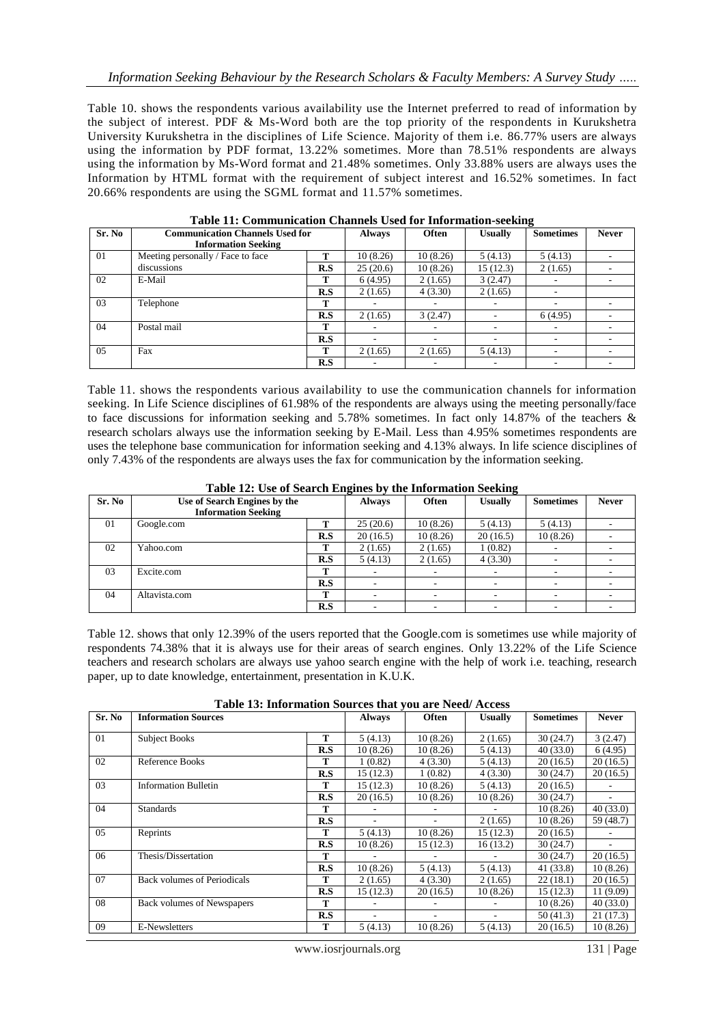Table 10. shows the respondents various availability use the Internet preferred to read of information by the subject of interest. PDF & Ms-Word both are the top priority of the respondents in Kurukshetra University Kurukshetra in the disciplines of Life Science. Majority of them i.e. 86.77% users are always using the information by PDF format, 13.22% sometimes. More than 78.51% respondents are always using the information by Ms-Word format and 21.48% sometimes. Only 33.88% users are always uses the Information by HTML format with the requirement of subject interest and 16.52% sometimes. In fact 20.66% respondents are using the SGML format and 11.57% sometimes.

| Sr. No | <b>Communication Channels Used for</b><br><b>Information Seeking</b> |     | <b>Always</b> | <b>Often</b> | Usually   | <b>Sometimes</b> | <b>Never</b> |
|--------|----------------------------------------------------------------------|-----|---------------|--------------|-----------|------------------|--------------|
| 01     | Meeting personally / Face to face                                    | т   | 10(8.26)      | 10(8.26)     | 5(4.13)   | 5(4.13)          |              |
|        | discussions                                                          | R.S | 25(20.6)      | 10(8.26)     | 15 (12.3) | 2(1.65)          |              |
| 02     | E-Mail                                                               | т   | 6(4.95)       | 2(1.65)      | 3(2.47)   |                  |              |
|        |                                                                      | R.S | 2(1.65)       | 4(3.30)      | 2(1.65)   | ۰                |              |
| 03     | Telephone                                                            | т   |               | ۰            | ۰.        | ۰                |              |
|        |                                                                      | R.S | 2(1.65)       | 3(2.47)      |           | 6(4.95)          |              |
| 04     | Postal mail                                                          | т   |               |              |           |                  |              |
|        |                                                                      | R.S | ۰.            | ۰            |           |                  |              |
| 05     | Fax                                                                  | т   | 2(1.65)       | 2(1.65)      | 5(4.13)   |                  |              |
|        |                                                                      | R.S |               |              |           |                  |              |

**Table 11: Communication Channels Used for Information-seeking**

Table 11. shows the respondents various availability to use the communication channels for information seeking. In Life Science disciplines of 61.98% of the respondents are always using the meeting personally/face to face discussions for information seeking and 5.78% sometimes. In fact only 14.87% of the teachers & research scholars always use the information seeking by E-Mail. Less than 4.95% sometimes respondents are uses the telephone base communication for information seeking and 4.13% always. In life science disciplines of only 7.43% of the respondents are always uses the fax for communication by the information seeking.

| Sr. No | Use of Search Engines by the |     | <b>Always</b> | Twore 12, Obe of bearen Engines by the filler matten becaming<br><b>Often</b> | <b>Usually</b> | <b>Sometimes</b> | <b>Never</b> |
|--------|------------------------------|-----|---------------|-------------------------------------------------------------------------------|----------------|------------------|--------------|
|        | <b>Information Seeking</b>   |     |               |                                                                               |                |                  |              |
| 01     | Google.com                   | т   | 25(20.6)      | 10(8.26)                                                                      | 5(4.13)        | 5(4.13)          |              |
|        |                              | R.S | 20(16.5)      | 10(8.26)                                                                      | 20(16.5)       | 10(8.26)         |              |
| 02     | Yahoo.com                    | т   | 2(1.65)       | 2(1.65)                                                                       | 1(0.82)        |                  |              |
|        |                              | R.S | 5(4.13)       | 2(1.65)                                                                       | 4(3.30)        |                  |              |
| 03     | Excite.com                   | m   |               |                                                                               |                |                  |              |
|        |                              | R.S |               |                                                                               |                |                  |              |
| 04     | Altavista.com                | т   |               |                                                                               |                |                  |              |
|        |                              | R.S |               |                                                                               |                |                  |              |

**Table 12: Use of Search Engines by the Information Seeking**

Table 12. shows that only 12.39% of the users reported that the Google.com is sometimes use while majority of respondents 74.38% that it is always use for their areas of search engines. Only 13.22% of the Life Science teachers and research scholars are always use yahoo search engine with the help of work i.e. teaching, research paper, up to date knowledge, entertainment, presentation in K.U.K.

**Table 13: Information Sources that you are Need/ Access**

| Sr. No | <b>Information Sources</b>         |     | <b>Always</b> | <b>Often</b> | <b>Usually</b> | <b>Sometimes</b> | <b>Never</b> |
|--------|------------------------------------|-----|---------------|--------------|----------------|------------------|--------------|
| 01     | <b>Subject Books</b>               | т   | 5(4.13)       | 10(8.26)     | 2(1.65)        | 30(24.7)         | 3(2.47)      |
|        |                                    | R.S | 10(8.26)      | 10(8.26)     | 5(4.13)        | 40(33.0)         | 6(4.95)      |
| 02     | Reference Books                    | т   | 1(0.82)       | 4(3.30)      | 5(4.13)        | 20(16.5)         | 20(16.5)     |
|        |                                    | R.S | 15 (12.3)     | 1(0.82)      | 4(3.30)        | 30(24.7)         | 20(16.5)     |
| 03     | <b>Information Bulletin</b>        | т   | 15(12.3)      | 10(8.26)     | 5(4.13)        | 20(16.5)         |              |
|        |                                    | R.S | 20(16.5)      | 10(8.26)     | 10(8.26)       | 30(24.7)         | ۰            |
| 04     | <b>Standards</b>                   | т   |               |              |                | 10(8.26)         | 40(33.0)     |
|        |                                    | R.S |               |              | 2(1.65)        | 10(8.26)         | 59 (48.7)    |
| 05     | Reprints                           | т   | 5(4.13)       | 10(8.26)     | 15(12.3)       | 20(16.5)         |              |
|        |                                    | R.S | 10(8.26)      | 15(12.3)     | 16(13.2)       | 30(24.7)         |              |
| 06     | Thesis/Dissertation                | т   |               |              |                | 30(24.7)         | 20(16.5)     |
|        |                                    | R.S | 10(8.26)      | 5 (4.13)     | 5(4.13)        | 41(33.8)         | 10(8.26)     |
| 07     | <b>Back volumes of Periodicals</b> | т   | 2(1.65)       | 4(3.30)      | 2(1.65)        | 22(18.1)         | 20(16.5)     |
|        |                                    | R.S | 15 (12.3)     | 20(16.5)     | 10(8.26)       | 15(12.3)         | 11 (9.09)    |
| 08     | <b>Back</b> volumes of Newspapers  | т   |               |              |                | 10(8.26)         | 40(33.0)     |
|        |                                    | R.S |               |              |                | 50(41.3)         | 21(17.3)     |
| 09     | E-Newsletters                      | T   | 5(4.13)       | 10(8.26)     | 5(4.13)        | 20(16.5)         | 10(8.26)     |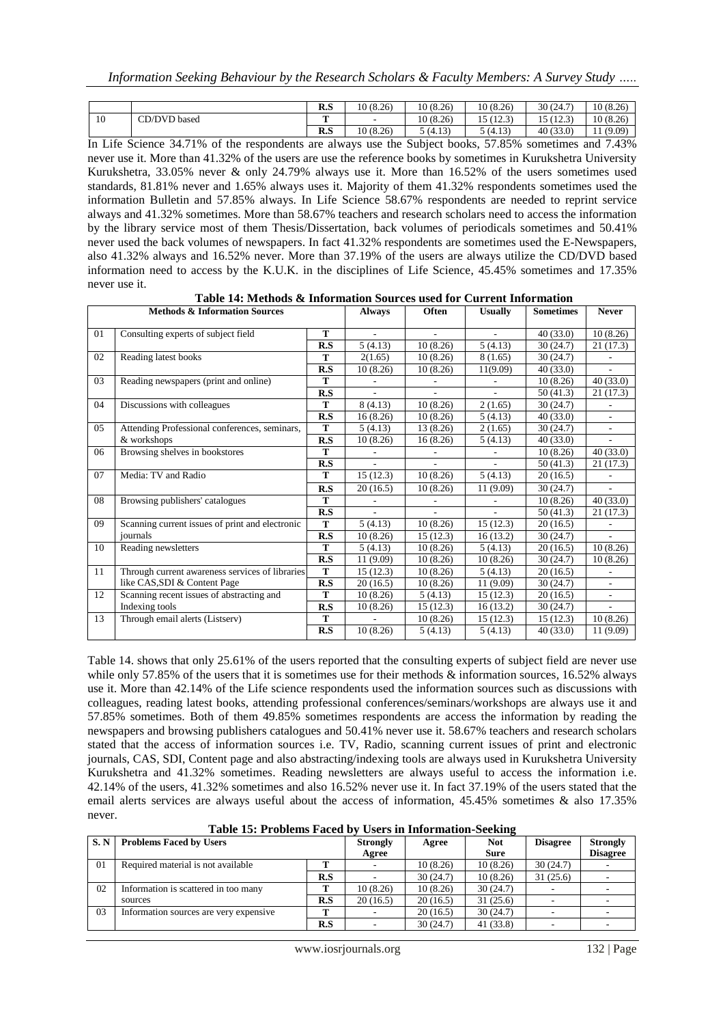|    |              | R.S | 10(8.26) | 10(8.26) | 10(8.26)                             | 30(24.7)          | 10(8.26) |
|----|--------------|-----|----------|----------|--------------------------------------|-------------------|----------|
| 10 | CD/DVD based | m   | -        | 10(8.26) | 15(122)<br>ر. که ۱<br>$\overline{ }$ | 5(122)<br>ر. که ۱ | 10(8.26) |
|    |              | R.S | 10(8.26) | 5 (4.13) | 5 (4.13)                             | 40(33.0)          | (9.09)   |

In Life Science 34.71% of the respondents are always use the Subject books, 57.85% sometimes and 7.43% never use it. More than 41.32% of the users are use the reference books by sometimes in Kurukshetra University Kurukshetra, 33.05% never & only 24.79% always use it. More than 16.52% of the users sometimes used standards, 81.81% never and 1.65% always uses it. Majority of them 41.32% respondents sometimes used the information Bulletin and 57.85% always. In Life Science 58.67% respondents are needed to reprint service always and 41.32% sometimes. More than 58.67% teachers and research scholars need to access the information by the library service most of them Thesis/Dissertation, back volumes of periodicals sometimes and 50.41% never used the back volumes of newspapers. In fact 41.32% respondents are sometimes used the E-Newspapers, also 41.32% always and 16.52% never. More than 37.19% of the users are always utilize the CD/DVD based information need to access by the K.U.K. in the disciplines of Life Science, 45.45% sometimes and 17.35% never use it.

| <b>Methods &amp; Information Sources</b> |                                                 | <b>Always</b> | <b>Often</b> | <b>Usually</b>           | <b>Sometimes</b> | <b>Never</b> |                          |
|------------------------------------------|-------------------------------------------------|---------------|--------------|--------------------------|------------------|--------------|--------------------------|
| 01                                       | Consulting experts of subject field             | T             | ٠            | $\overline{\phantom{a}}$ | ÷.               | 40(33.0)     | 10(8.26)                 |
|                                          |                                                 | R.S           | 5(4.13)      | 10(8.26)                 | 5(4.13)          | 30 (24.7)    | 21 (17.3)                |
| 02                                       | Reading latest books                            | T             | 2(1.65)      | 10(8.26)                 | 8(1.65)          | 30(24.7)     |                          |
|                                          |                                                 | R.S           | 10(8.26)     | 10(8.26)                 | 11(9.09)         | 40 (33.0)    | $\overline{\phantom{a}}$ |
| 03                                       | Reading newspapers (print and online)           | T             |              |                          |                  | 10(8.26)     | 40(33.0)                 |
|                                          |                                                 | R.S           |              |                          |                  | 50(41.3)     | 21(17.3)                 |
| 04                                       | Discussions with colleagues                     | T             | 8(4.13)      | 10(8.26)                 | 2(1.65)          | 30 (24.7)    |                          |
|                                          |                                                 | R.S           | 16(8.26)     | 10(8.26)                 | 5(4.13)          | 40(33.0)     |                          |
| 05                                       | Attending Professional conferences, seminars,   | T             | 5(4.13)      | 13 (8.26)                | 2(1.65)          | 30(24.7)     |                          |
|                                          | & workshops                                     | R.S           | 10(8.26)     | 16(8.26)                 | 5(4.13)          | 40 (33.0)    | $\overline{\phantom{a}}$ |
| 06                                       | Browsing shelves in bookstores                  | T             |              |                          |                  | 10(8.26)     | 40(33.0)                 |
|                                          |                                                 | R.S           | L.           |                          |                  | 50(41.3)     | 21(17.3)                 |
| 07                                       | Media: TV and Radio                             | T             | 15(12.3)     | 10(8.26)                 | 5(4.13)          | 20(16.5)     |                          |
|                                          |                                                 | R.S           | 20(16.5)     | 10(8.26)                 | 11 (9.09)        | 30(24.7)     | ٠                        |
| 08                                       | Browsing publishers' catalogues                 | T             |              |                          |                  | 10(8.26)     | 40(33.0)                 |
|                                          |                                                 | R.S           | ÷.           | ÷.                       | $\sim$           | 50(41.3)     | 21(17.3)                 |
| 09                                       | Scanning current issues of print and electronic | T             | 5(4.13)      | 10(8.26)                 | 15(12.3)         | 20(16.5)     |                          |
|                                          | iournals                                        | R.S           | 10(8.26)     | 15(12.3)                 | 16(13.2)         | 30(24.7)     | ÷.                       |
| 10                                       | Reading newsletters                             | T             | 5(4.13)      | 10(8.26)                 | 5(4.13)          | 20(16.5)     | 10(8.26)                 |
|                                          |                                                 | R.S           | 11 (9.09)    | 10 (8.26)                | 10(8.26)         | 30 (24.7)    | 10(8.26)                 |
| 11                                       | Through current awareness services of libraries | T             | 15(12.3)     | 10(8.26)                 | 5(4.13)          | 20(16.5)     | ٠                        |
|                                          | like CAS, SDI & Content Page                    | R.S           | 20(16.5)     | 10 (8.26)                | 11 (9.09)        | 30 (24.7)    | $\overline{\phantom{a}}$ |
| 12                                       | Scanning recent issues of abstracting and       | T             | 10(8.26)     | 5(4.13)                  | 15(12.3)         | 20(16.5)     |                          |
|                                          | Indexing tools                                  | R.S           | 10(8.26)     | 15(12.3)                 | 16(13.2)         | 30(24.7)     | ÷.                       |
| 13                                       | Through email alerts (Listserv)                 | T             |              | 10(8.26)                 | 15(12.3)         | 15(12.3)     | 10(8.26)                 |
|                                          |                                                 | R.S           | 10(8.26)     | 5(4.13)                  | 5(4.13)          | 40(33.0)     | 11 (9.09)                |

|--|

Table 14. shows that only 25.61% of the users reported that the consulting experts of subject field are never use while only 57.85% of the users that it is sometimes use for their methods  $\&$  information sources, 16.52% always use it. More than 42.14% of the Life science respondents used the information sources such as discussions with colleagues, reading latest books, attending professional conferences/seminars/workshops are always use it and 57.85% sometimes. Both of them 49.85% sometimes respondents are access the information by reading the newspapers and browsing publishers catalogues and 50.41% never use it. 58.67% teachers and research scholars stated that the access of information sources i.e. TV, Radio, scanning current issues of print and electronic journals, CAS, SDI, Content page and also abstracting/indexing tools are always used in Kurukshetra University Kurukshetra and 41.32% sometimes. Reading newsletters are always useful to access the information i.e. 42.14% of the users, 41.32% sometimes and also 16.52% never use it. In fact 37.19% of the users stated that the email alerts services are always useful about the access of information, 45.45% sometimes & also 17.35% never.

| Table 15: Problems Faced by Users in Information-Seeking |  |  |
|----------------------------------------------------------|--|--|
|----------------------------------------------------------|--|--|

| <b>S.N</b> | <b>Problems Faced by Users</b>         |     | <b>Strongly</b><br>Agree | Agree    | <b>Not</b><br><b>Sure</b> | <b>Disagree</b> | <b>Strongly</b><br><b>Disagree</b> |
|------------|----------------------------------------|-----|--------------------------|----------|---------------------------|-----------------|------------------------------------|
| 01         | Required material is not available     |     |                          | 10(8.26) | 10(8.26)                  | 30(24.7)        |                                    |
|            |                                        | R.S |                          | 30(24.7) | 10(8.26)                  | 31(25.6)        |                                    |
| 02         | Information is scattered in too many   | m   | 10(8.26)                 | 10(8.26) | 30(24.7)                  |                 |                                    |
|            | sources                                | R.S | 20(16.5)                 | 20(16.5) | 31(25.6)                  |                 |                                    |
| 03         | Information sources are very expensive |     |                          | 20(16.5) | 30(24.7)                  |                 |                                    |
|            |                                        | R.S |                          | 30(24.7) | 41 (33.8)                 |                 |                                    |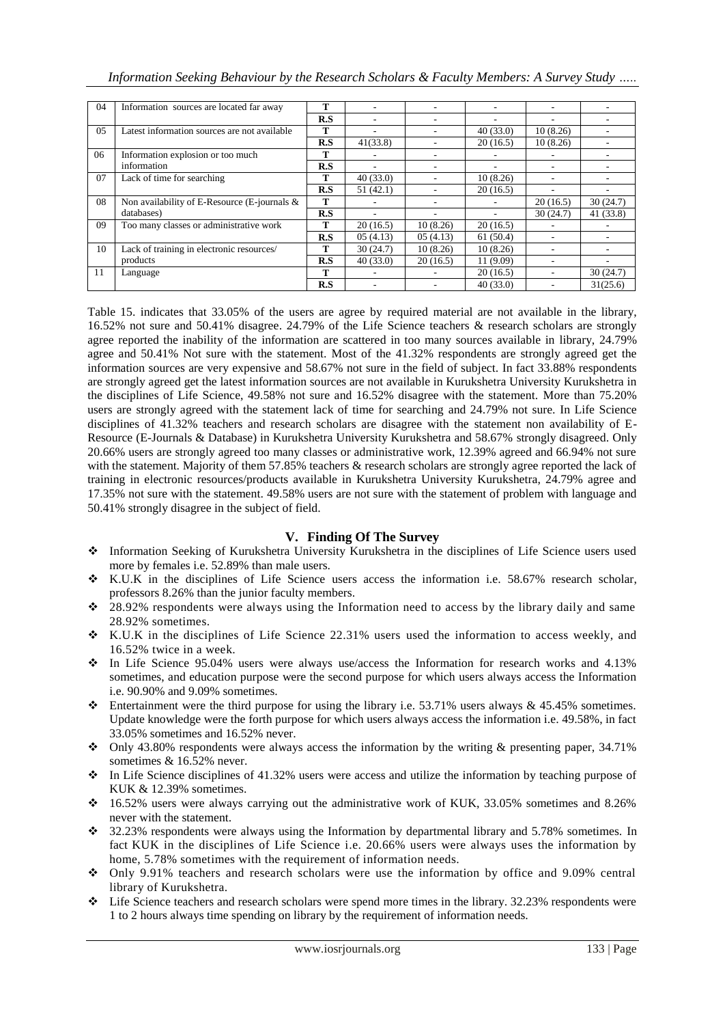| 04 | Information sources are located far away       | т   |          |          |           |          |           |
|----|------------------------------------------------|-----|----------|----------|-----------|----------|-----------|
|    |                                                | R.S | ۰        | ۰        |           | ۰        |           |
| 05 | Latest information sources are not available   | т   | -        |          | 40(33.0)  | 10(8.26) |           |
|    |                                                | R.S | 41(33.8) |          | 20(16.5)  | 10(8.26) |           |
| 06 | Information explosion or too much              |     |          |          |           |          |           |
|    | information                                    | R.S | ۰        | ۰        | -         | ۰        |           |
| 07 | Lack of time for searching                     | т   | 40(33.0) |          | 10(8.26)  |          |           |
|    |                                                | R.S | 51(42.1) |          | 20(16.5)  |          |           |
| 08 | Non availability of E-Resource (E-journals $&$ | т   |          |          |           | 20(16.5) | 30(24.7)  |
|    | databases)                                     | R.S | ۰        | ۰        |           | 30(24.7) | 41 (33.8) |
| 09 | Too many classes or administrative work        | т   | 20(16.5) | 10(8.26) | 20(16.5)  |          |           |
|    |                                                | R.S | 05(4.13) | 05(4.13) | 61(50.4)  |          |           |
| 10 | Lack of training in electronic resources/      | т   | 30(24.7) | 10(8.26) | 10(8.26)  |          |           |
|    | products                                       | R.S | 40(33.0) | 20(16.5) | 11 (9.09) |          |           |
| 11 | Language                                       | т   |          |          | 20(16.5)  |          | 30(24.7)  |
|    |                                                | R.S |          |          | 40(33.0)  |          | 31(25.6)  |

Table 15. indicates that 33.05% of the users are agree by required material are not available in the library, 16.52% not sure and 50.41% disagree. 24.79% of the Life Science teachers & research scholars are strongly agree reported the inability of the information are scattered in too many sources available in library, 24.79% agree and 50.41% Not sure with the statement. Most of the 41.32% respondents are strongly agreed get the information sources are very expensive and 58.67% not sure in the field of subject. In fact 33.88% respondents are strongly agreed get the latest information sources are not available in Kurukshetra University Kurukshetra in the disciplines of Life Science, 49.58% not sure and 16.52% disagree with the statement. More than 75.20% users are strongly agreed with the statement lack of time for searching and 24.79% not sure. In Life Science disciplines of 41.32% teachers and research scholars are disagree with the statement non availability of E-Resource (E-Journals & Database) in Kurukshetra University Kurukshetra and 58.67% strongly disagreed. Only 20.66% users are strongly agreed too many classes or administrative work, 12.39% agreed and 66.94% not sure with the statement. Majority of them 57.85% teachers & research scholars are strongly agree reported the lack of training in electronic resources/products available in Kurukshetra University Kurukshetra, 24.79% agree and 17.35% not sure with the statement. 49.58% users are not sure with the statement of problem with language and 50.41% strongly disagree in the subject of field.

# **V. Finding Of The Survey**

- Information Seeking of Kurukshetra University Kurukshetra in the disciplines of Life Science users used more by females i.e. 52.89% than male users.
- K.U.K in the disciplines of Life Science users access the information i.e. 58.67% research scholar, professors 8.26% than the junior faculty members.
- \* 28.92% respondents were always using the Information need to access by the library daily and same 28.92% sometimes.
- K.U.K in the disciplines of Life Science 22.31% users used the information to access weekly, and 16.52% twice in a week.
- In Life Science 95.04% users were always use/access the Information for research works and 4.13% sometimes, and education purpose were the second purpose for which users always access the Information i.e. 90.90% and 9.09% sometimes.
- Entertainment were the third purpose for using the library i.e. 53.71% users always & 45.45% sometimes. Update knowledge were the forth purpose for which users always access the information i.e. 49.58%, in fact 33.05% sometimes and 16.52% never.
- Only 43.80% respondents were always access the information by the writing & presenting paper, 34.71% sometimes & 16.52% never.
- In Life Science disciplines of 41.32% users were access and utilize the information by teaching purpose of KUK & 12.39% sometimes.
- 16.52% users were always carrying out the administrative work of KUK, 33.05% sometimes and 8.26% never with the statement.
- 32.23% respondents were always using the Information by departmental library and 5.78% sometimes. In fact KUK in the disciplines of Life Science i.e. 20.66% users were always uses the information by home, 5.78% sometimes with the requirement of information needs.
- Only 9.91% teachers and research scholars were use the information by office and 9.09% central library of Kurukshetra.
- $\div$  Life Science teachers and research scholars were spend more times in the library. 32.23% respondents were 1 to 2 hours always time spending on library by the requirement of information needs.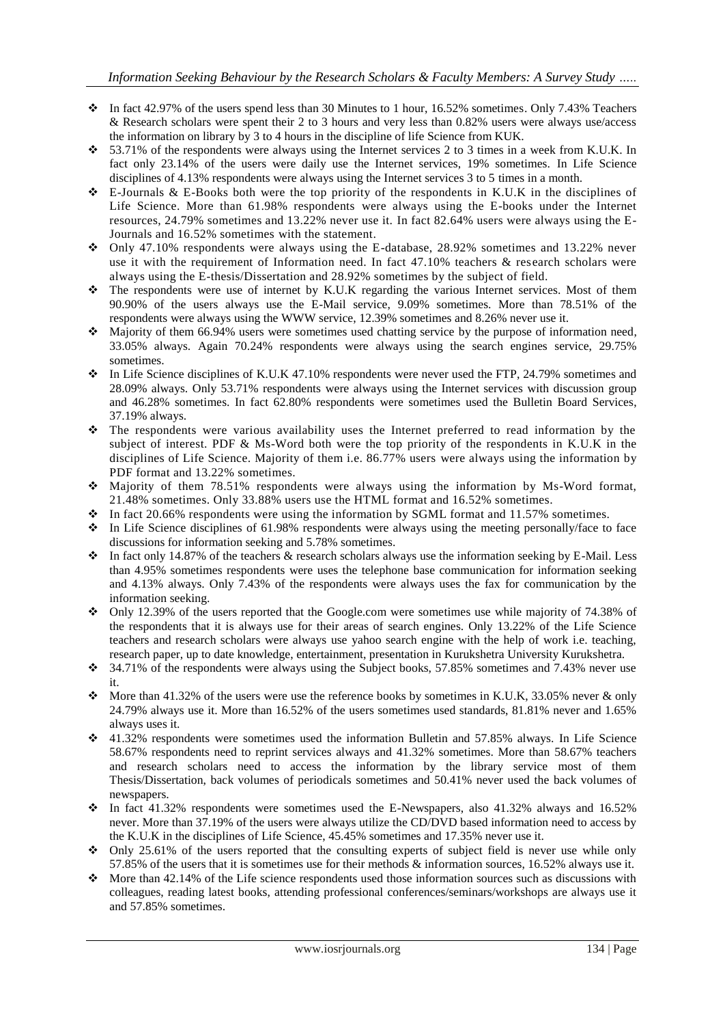- In fact 42.97% of the users spend less than 30 Minutes to 1 hour, 16.52% sometimes. Only 7.43% Teachers & Research scholars were spent their 2 to 3 hours and very less than 0.82% users were always use/access the information on library by 3 to 4 hours in the discipline of life Science from KUK.
- $\div$  53.71% of the respondents were always using the Internet services 2 to 3 times in a week from K.U.K. In fact only 23.14% of the users were daily use the Internet services, 19% sometimes. In Life Science disciplines of 4.13% respondents were always using the Internet services 3 to 5 times in a month.
- $\div$  E-Journals & E-Books both were the top priority of the respondents in K.U.K in the disciplines of Life Science. More than 61.98% respondents were always using the E-books under the Internet resources, 24.79% sometimes and 13.22% never use it. In fact 82.64% users were always using the E-Journals and 16.52% sometimes with the statement.
- Only 47.10% respondents were always using the E-database, 28.92% sometimes and 13.22% never use it with the requirement of Information need. In fact 47.10% teachers & research scholars were always using the E-thesis/Dissertation and 28.92% sometimes by the subject of field.
- \* The respondents were use of internet by K.U.K regarding the various Internet services. Most of them 90.90% of the users always use the E-Mail service, 9.09% sometimes. More than 78.51% of the respondents were always using the WWW service, 12.39% sometimes and 8.26% never use it.
- Majority of them 66.94% users were sometimes used chatting service by the purpose of information need, 33.05% always. Again 70.24% respondents were always using the search engines service, 29.75% sometimes.
- $\bullet$  In Life Science disciplines of K.U.K 47.10% respondents were never used the FTP, 24.79% sometimes and 28.09% always. Only 53.71% respondents were always using the Internet services with discussion group and 46.28% sometimes. In fact 62.80% respondents were sometimes used the Bulletin Board Services, 37.19% always.
- The respondents were various availability uses the Internet preferred to read information by the subject of interest. PDF & Ms-Word both were the top priority of the respondents in K.U.K in the disciplines of Life Science. Majority of them i.e. 86.77% users were always using the information by PDF format and 13.22% sometimes.
- Majority of them 78.51% respondents were always using the information by Ms-Word format, 21.48% sometimes. Only 33.88% users use the HTML format and 16.52% sometimes.
- $\cdot$  In fact 20.66% respondents were using the information by SGML format and 11.57% sometimes.
- $\bullet$  In Life Science disciplines of 61.98% respondents were always using the meeting personally/face to face discussions for information seeking and 5.78% sometimes.
- $\cdot \cdot$  In fact only 14.87% of the teachers & research scholars always use the information seeking by E-Mail. Less than 4.95% sometimes respondents were uses the telephone base communication for information seeking and 4.13% always. Only 7.43% of the respondents were always uses the fax for communication by the information seeking.
- $\bullet$  Only 12.39% of the users reported that the Google.com were sometimes use while majority of 74.38% of the respondents that it is always use for their areas of search engines. Only 13.22% of the Life Science teachers and research scholars were always use yahoo search engine with the help of work i.e. teaching, research paper, up to date knowledge, entertainment, presentation in Kurukshetra University Kurukshetra.
- 34.71% of the respondents were always using the Subject books, 57.85% sometimes and 7.43% never use it.
- $\bullet$  More than 41.32% of the users were use the reference books by sometimes in K.U.K, 33.05% never & only 24.79% always use it. More than 16.52% of the users sometimes used standards, 81.81% never and 1.65% always uses it.
- $\div$  41.32% respondents were sometimes used the information Bulletin and 57.85% always. In Life Science 58.67% respondents need to reprint services always and 41.32% sometimes. More than 58.67% teachers and research scholars need to access the information by the library service most of them Thesis/Dissertation, back volumes of periodicals sometimes and 50.41% never used the back volumes of newspapers.
- $\div$  In fact 41.32% respondents were sometimes used the E-Newspapers, also 41.32% always and 16.52% never. More than 37.19% of the users were always utilize the CD/DVD based information need to access by the K.U.K in the disciplines of Life Science, 45.45% sometimes and 17.35% never use it.
- $\bullet$  Only 25.61% of the users reported that the consulting experts of subject field is never use while only 57.85% of the users that it is sometimes use for their methods & information sources, 16.52% always use it.
- $\bullet$  More than 42.14% of the Life science respondents used those information sources such as discussions with colleagues, reading latest books, attending professional conferences/seminars/workshops are always use it and 57.85% sometimes.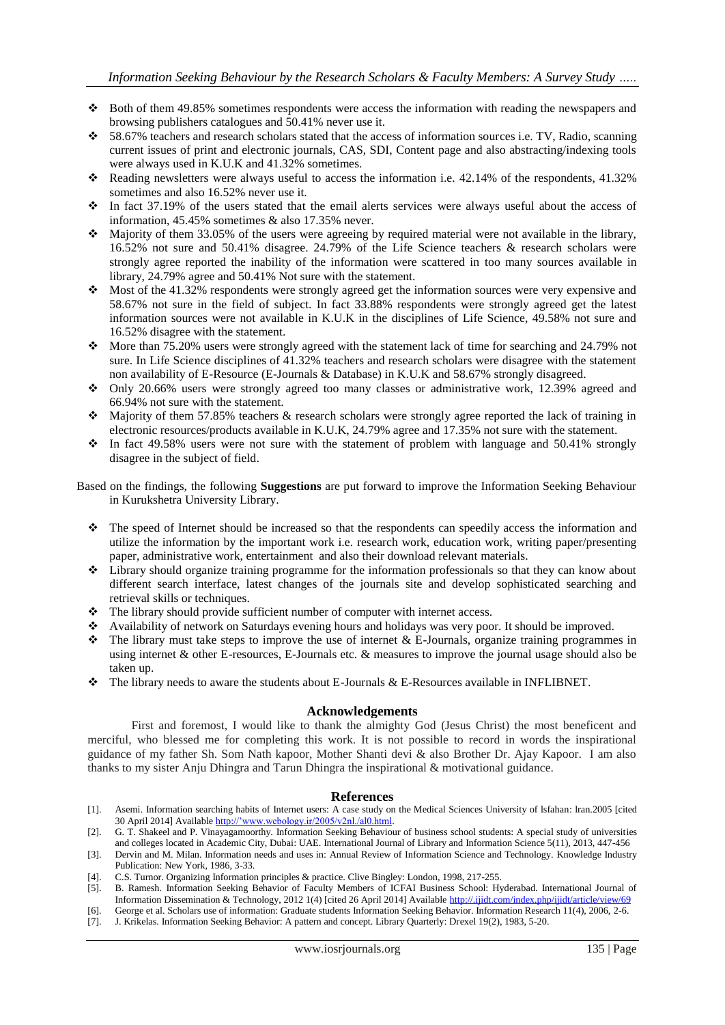- Both of them 49.85% sometimes respondents were access the information with reading the newspapers and browsing publishers catalogues and 50.41% never use it.
- $\div$  58.67% teachers and research scholars stated that the access of information sources i.e. TV, Radio, scanning current issues of print and electronic journals, CAS, SDI, Content page and also abstracting/indexing tools were always used in K.U.K and 41.32% sometimes.
- Reading newsletters were always useful to access the information i.e.  $42.14\%$  of the respondents,  $41.32\%$ sometimes and also 16.52% never use it.
- $\cdot$  In fact 37.19% of the users stated that the email alerts services were always useful about the access of information, 45.45% sometimes & also 17.35% never.
- $\bullet$  Majority of them 33.05% of the users were agreeing by required material were not available in the library, 16.52% not sure and 50.41% disagree. 24.79% of the Life Science teachers & research scholars were strongly agree reported the inability of the information were scattered in too many sources available in library, 24.79% agree and 50.41% Not sure with the statement.
- $\bullet$  Most of the 41.32% respondents were strongly agreed get the information sources were very expensive and 58.67% not sure in the field of subject. In fact 33.88% respondents were strongly agreed get the latest information sources were not available in K.U.K in the disciplines of Life Science, 49.58% not sure and 16.52% disagree with the statement.
- More than 75.20% users were strongly agreed with the statement lack of time for searching and 24.79% not sure. In Life Science disciplines of 41.32% teachers and research scholars were disagree with the statement non availability of E-Resource (E-Journals & Database) in K.U.K and 58.67% strongly disagreed.
- Only 20.66% users were strongly agreed too many classes or administrative work, 12.39% agreed and 66.94% not sure with the statement.
- Majority of them 57.85% teachers & research scholars were strongly agree reported the lack of training in electronic resources/products available in K.U.K, 24.79% agree and 17.35% not sure with the statement.
- $\div$  In fact 49.58% users were not sure with the statement of problem with language and 50.41% strongly disagree in the subject of field.

Based on the findings, the following **Suggestions** are put forward to improve the Information Seeking Behaviour in Kurukshetra University Library.

- $\hat{\cdot}$  The speed of Internet should be increased so that the respondents can speedily access the information and utilize the information by the important work i.e. research work, education work, writing paper/presenting paper, administrative work, entertainment and also their download relevant materials.
- Library should organize training programme for the information professionals so that they can know about different search interface, latest changes of the journals site and develop sophisticated searching and retrieval skills or techniques.
- \* The library should provide sufficient number of computer with internet access.
- Availability of network on Saturdays evening hours and holidays was very poor. It should be improved.
- $\hat{\cdot}$  The library must take steps to improve the use of internet & E-Journals, organize training programmes in using internet & other E-resources, E-Journals etc. & measures to improve the journal usage should also be taken up.
- The library needs to aware the students about E-Journals & E-Resources available in INFLIBNET.

#### **Acknowledgements**

First and foremost, I would like to thank the almighty God (Jesus Christ) the most beneficent and merciful, who blessed me for completing this work. It is not possible to record in words the inspirational guidance of my father Sh. Som Nath kapoor, Mother Shanti devi & also Brother Dr. Ajay Kapoor. I am also thanks to my sister Anju Dhingra and Tarun Dhingra the inspirational & motivational guidance.

# **References**

- [1]. Asemi. Information searching habits of Internet users: A case study on the Medical Sciences University of lsfahan: lran.2005 [cited 30 April 2014] Availabl[e http://"www.webology.ir/2005/v2nl./al0.html.](http://)
- [2]. G. T. Shakeel and P. Vinayagamoorthy. Information Seeking Behaviour of business school students: A special study of universities and colleges located in Academic City, Dubai: UAE. International Journal of Library and Information Science 5(11), 2013, 447-456
- [3]. Dervin and M. Milan. Information needs and uses in: Annual Review of Information Science and Technology. Knowledge Industry Publication: New York, 1986, 3-33.
- [4]. C.S. Turnor. Organizing Information principles & practice. Clive Bingley: London, 1998, 217-255.
- [5]. B. Ramesh. Information Seeking Behavior of Faculty Members of ICFAI Business School: Hyderabad. International Journal of Information Dissemination & Technology, 2012 1(4) [cited 26 April 2014] Available http://.ijidt.com/index.php/ijidt/article/view/69
- [6]. George et al. Scholars use of information: Graduate students Information Seeking Behavior. Information Research 11(4), 2006, 2-6. [7]. J. Krikelas. Information Seeking Behavior: A pattern and concept. Library Quarterly: Drexel 19(2), 1983, 5-20.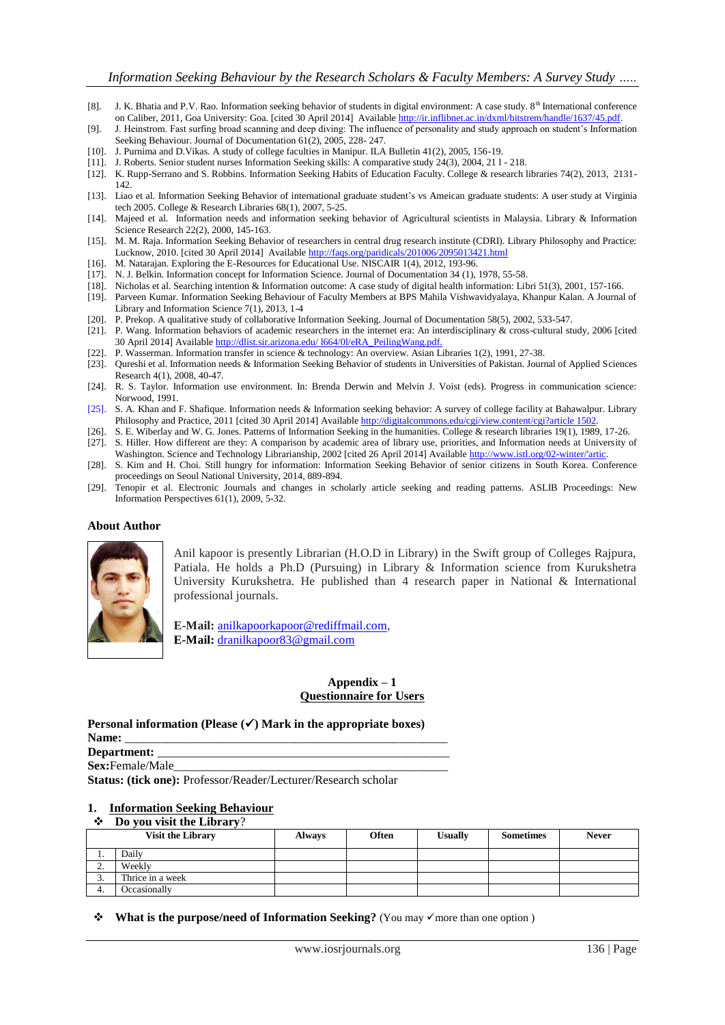- [8]. J. K. Bhatia and P.V. Rao. Information seeking behavior of students in digital environment: A case study.  $8<sup>th</sup>$  International conference on Caliber, 2011, Goa University: Goa. [cited 30 April 2014] Availabl[e http://ir.inflibnet.ac.in/dxml/bitstrem/handle/1637/45.pdf.](http://ir.inflibnet.ac.in/dxml/bitstrem/handle/1637/45.pdf)
- [9]. J. Heinstrom. Fast surfing broad scanning and deep diving: The influence of personality and study approach on student"s Information Seeking Behaviour. Journal of Documentation  $61(2)$ , 2005, 228- 247.
- [10]. J. Purnima and D.Vikas. A study of college faculties in Manipur. ILA Bulletin 41(2), 2005, 156-19.
- [11]. J. Roberts. Senior student nurses Information Seeking skills: A comparative study 24(3), 2004, 21 l 218.
- [12]. K. Rupp-Serrano and S. Robbins. Information Seeking Habits of Education Faculty. College & research libraries 74(2), 2013, 2131- 142.
- [13]. Liao et al. Information Seeking Behavior of international graduate student"s vs Ameican graduate students: A user study at Virginia tech 2005. College & Research Libraries 68(1), 2007, 5-25.
- [14]. Majeed et al. Information needs and information seeking behavior of Agricultural scientists in Malaysia. Library & Information Science Research 22(2), 2000, 145-163.
- [15]. M. M. Raja. Information Seeking Behavior of researchers in central drug research institute (CDRI). Library Philosophy and Practice: Lucknow, 2010. [cited 30 April 2014] Available http://faqs.org/paridicals/201006/2095013421.html
- [16]. M. Natarajan. Exploring the E-Resources for Educational Use. NISCAIR 1(4), 2012, 193-96.
- [17]. N. J. Belkin. Information concept for Information Science. Journal of Documentation 34 (1), 1978, 55-58.
- [18]. Nicholas et al. Searching intention & Information outcome: A case study of digital health information: Libri 51(3), 2001, 157-166.
- [19]. Parveen Kumar. Information Seeking Behaviour of Faculty Members at BPS Mahila Vishwavidyalaya, Khanpur Kalan. A Journal of Library and Information Science 7(1), 2013, 1-4
- [20]. P. Prekop. A qualitative study of collaborative Information Seeking. Journal of Documentation 58(5), 2002, 533-547.
- [21]. P. Wang. Information behaviors of academic researchers in the internet era: An interdisciplinary & cross-cultural study, 2006 [cited 30 April 2014] Available http://dlist.sir.arizona.edu/ l664/0l/eRA\_PeilingWang.pdf.
- [22]. P. Wasserman. Information transfer in science & technology: An overview. Asian Libraries 1(2), 1991, 27-38.
- [23]. Qureshi et al. Information needs & Information Seeking Behavior of students in Universities of Pakistan. Journal of Applied Sciences Research 4(1), 2008, 40-47.
- [24]. R. S. Taylor. Information use environment. In: Brenda Derwin and Melvin J. Voist (eds). Progress in communication science: Norwood, 1991.
- [25]. S. A. Khan and F. Shafique. Information needs & Information seeking behavior: A survey of college facility at Bahawalpur. Library Philosophy and Practice, 2011 [cited 30 April 2014] Available <http://digitalcommons.edu/cgi/view.content/cgi?article> 1502
- [26]. S. E. Wiberlay and W. G. Jones. Patterns of Information Seeking in the humanities. College & research libraries 19(1), 1989, 17-26.
- [27]. S. Hiller. How different are they: A comparison by academic area of library use, priorities, and Information needs at University of Washington. Science and Technology Librarianship, 2002 [cited 26 April 2014] Available [http://www.istl.org/02-winter/'artic.](http://www.istl.org/02-winter/)
- [28]. S. Kim and H. Choi. Still hungry for information: Information Seeking Behavior of senior citizens in South Korea. Conference proceedings on Seoul National University, 2014, 889-894.
- [29]. Tenopir et al. Electronic Journals and changes in scholarly article seeking and reading patterns. ASLIB Proceedings: New Information Perspectives 61(1), 2009, 5-32.

#### **About Author**



Anil kapoor is presently Librarian (H.O.D in Library) in the Swift group of Colleges Rajpura, Patiala. He holds a Ph.D (Pursuing) in Library & Information science from Kurukshetra University Kurukshetra. He published than 4 research paper in National & International professional journals.

**E-Mail:** [anilkapoorkapoor@rediffmail.com,](mailto:anilkapoorkapoor@rediffmail.com) **E-Mail:** dranilkapoor83@gmail.com

# **Appendix – 1 Questionnaire for Users**

|             | Personal information (Please $(\checkmark)$ ) Mark in the appropriate boxes) |
|-------------|------------------------------------------------------------------------------|
| Name:       |                                                                              |
| Department: |                                                                              |
|             |                                                                              |

Sex:Female/Male

**Status: (tick one):** Professor/Reader/Lecturer/Research scholar

# **1. Information Seeking Behaviour**

# **Do you visit the Library**?

|    | <b>Visit the Library</b> | <b>Always</b> | Often | <b>Usually</b> | <b>Sometimes</b> | <b>Never</b> |
|----|--------------------------|---------------|-------|----------------|------------------|--------------|
|    | Daily                    |               |       |                |                  |              |
| ٠. | Weekly                   |               |       |                |                  |              |
| J. | Thrice in a week         |               |       |                |                  |              |
| 4. | Occasionally             |               |       |                |                  |              |

**❖** What is the purpose/need of Information Seeking? (You may  $\checkmark$  more than one option)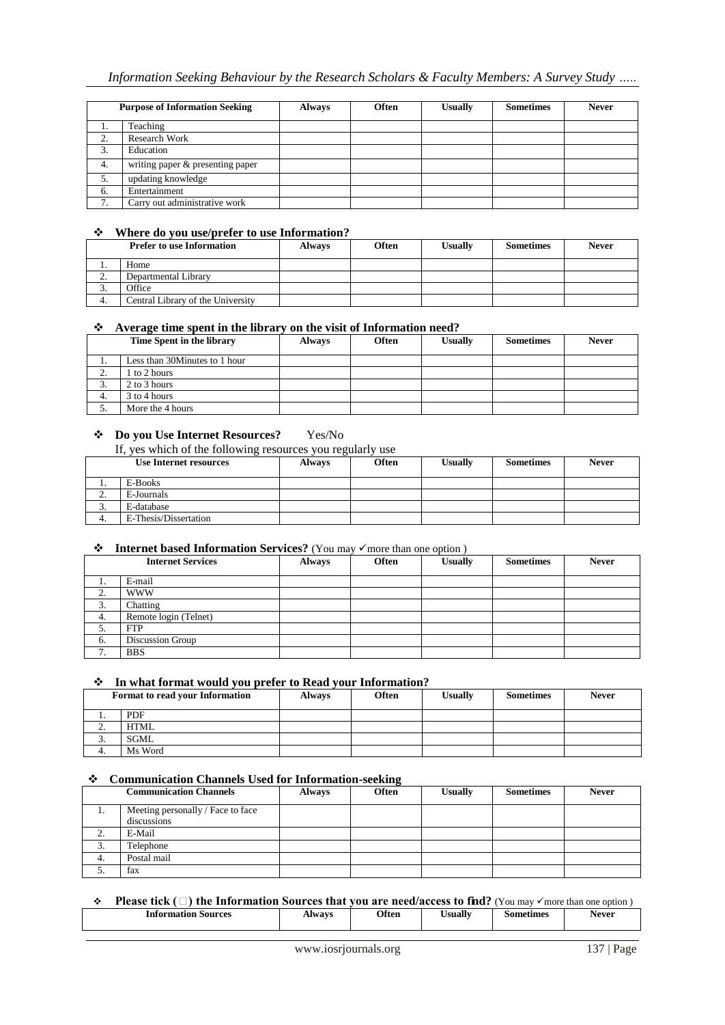| <b>Purpose of Information Seeking</b> |                                  | <b>Always</b> | <b>Often</b> | <b>Usually</b> | <b>Sometimes</b> | <b>Never</b> |
|---------------------------------------|----------------------------------|---------------|--------------|----------------|------------------|--------------|
| ı.                                    | Teaching                         |               |              |                |                  |              |
| 2.                                    | <b>Research Work</b>             |               |              |                |                  |              |
| 3.                                    | Education                        |               |              |                |                  |              |
| 4.                                    | writing paper & presenting paper |               |              |                |                  |              |
| 5.                                    | updating knowledge               |               |              |                |                  |              |
| 6.                                    | Entertainment                    |               |              |                |                  |              |
| 7.                                    | Carry out administrative work    |               |              |                |                  |              |

# **Where do you use/prefer to use Information?**

|          | <b>Prefer to use Information</b>  | <b>Always</b> | <b>Often</b> | Usually | <b>Sometimes</b> | <b>Never</b> |
|----------|-----------------------------------|---------------|--------------|---------|------------------|--------------|
|          | Home                              |               |              |         |                  |              |
| <u>.</u> | Departmental Library              |               |              |         |                  |              |
| J.       | Office                            |               |              |         |                  |              |
|          | Central Library of the University |               |              |         |                  |              |

# **Average time spent in the library on the visit of Information need?**

|    | Time Spent in the library     | <b>Always</b> | <b>Often</b> | <b>Usually</b> | <b>Sometimes</b> | <b>Never</b> |
|----|-------------------------------|---------------|--------------|----------------|------------------|--------------|
|    | Less than 30Minutes to 1 hour |               |              |                |                  |              |
| ٠. | to 2 hours                    |               |              |                |                  |              |
| J. | 2 to 3 hours                  |               |              |                |                  |              |
| 4. | 3 to 4 hours                  |               |              |                |                  |              |
|    | More the 4 hours              |               |              |                |                  |              |

# **Do you Use Internet Resources?** Yes/No

If, yes which of the following resources you regularly use

|    | <b>Use Internet resources</b> | <b>Always</b> | <b>Often</b> | <b>Usually</b> | <b>Sometimes</b> | <b>Never</b> |
|----|-------------------------------|---------------|--------------|----------------|------------------|--------------|
|    | E-Books                       |               |              |                |                  |              |
| ٠. | E-Journals                    |               |              |                |                  |              |
| J. | E-database                    |               |              |                |                  |              |
| т. | E-Thesis/Dissertation         |               |              |                |                  |              |

# ◆ Internet based Information Services? (You may  $\checkmark$  more than one option )

|          | <b>Internet Services</b> | <b>Always</b> | <b>Often</b> | <b>Usually</b> | <b>Sometimes</b> | <b>Never</b> |
|----------|--------------------------|---------------|--------------|----------------|------------------|--------------|
| .,       | E-mail                   |               |              |                |                  |              |
| z.       | <b>WWW</b>               |               |              |                |                  |              |
| 3.       | Chatting                 |               |              |                |                  |              |
| 4.       | Remote login (Telnet)    |               |              |                |                  |              |
| 5.       | <b>FTP</b>               |               |              |                |                  |              |
| 6.       | Discussion Group         |               |              |                |                  |              |
| ⇁<br>. . | <b>BBS</b>               |               |              |                |                  |              |

#### **In what format would you prefer to Read your Information?**

| <b>Format to read your Information</b> |             | <b>Always</b> | Often | <b>Usually</b> | <b>Sometimes</b> | <b>Never</b> |
|----------------------------------------|-------------|---------------|-------|----------------|------------------|--------------|
|                                        | PDF         |               |       |                |                  |              |
| <u>.</u>                               | <b>HTML</b> |               |       |                |                  |              |
| J.                                     | <b>SGML</b> |               |       |                |                  |              |
|                                        | Ms Word     |               |       |                |                  |              |

# **Communication Channels Used for Information-seeking**

|                            | <b>Communication Channels</b>                    | <b>Always</b> | <b>Often</b> | <b>Usually</b> | <b>Sometimes</b> | <b>Never</b> |
|----------------------------|--------------------------------------------------|---------------|--------------|----------------|------------------|--------------|
| . .                        | Meeting personally / Face to face<br>discussions |               |              |                |                  |              |
| $\sim$<br><b>L.</b>        | E-Mail                                           |               |              |                |                  |              |
| $\sim$<br>$\mathfrak{I}$ . | Telephone                                        |               |              |                |                  |              |
| -4.                        | Postal mail                                      |               |              |                |                  |              |
| J.                         | fax                                              |               |              |                |                  |              |

#### **◆ Please tick (**□) the Information Sources that you are need/access to find? (You may  $\checkmark$  more than one option) **Information Sources** Always Often Usually Sometimes Never